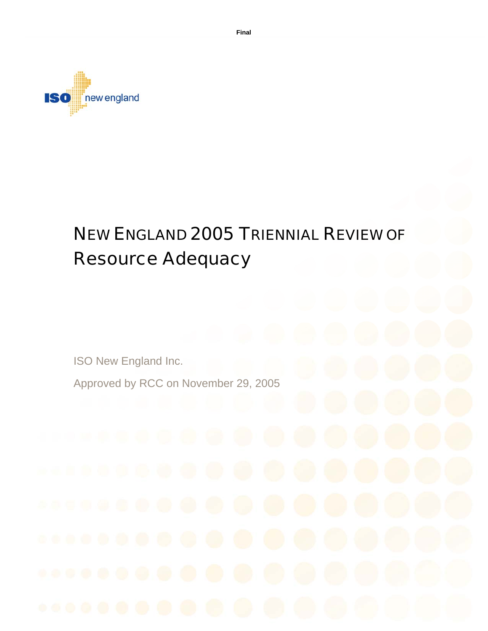

# NEW ENGLAND 2005 TRIENNIAL REVIEW OF Resource Adequacy

ISO New England Inc.

Approved by RCC on November 29, 2005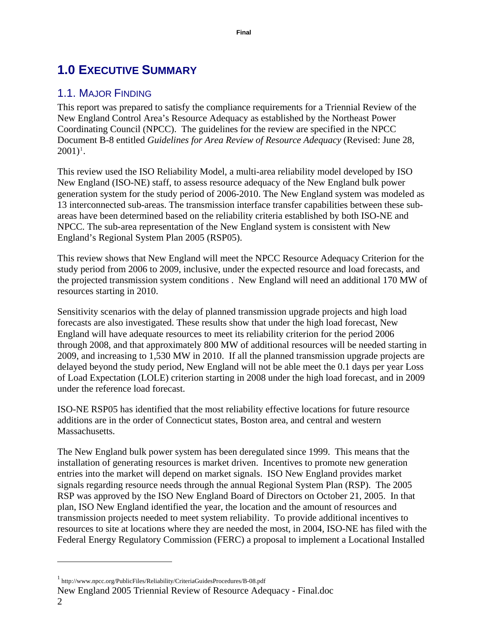# <span id="page-1-1"></span>**1.0 EXECUTIVE SUMMARY**

# 1.1. MAJOR FINDING

This report was prepared to satisfy the compliance requirements for a Triennial Review of the New England Control Area's Resource Adequacy as established by the Northeast Power Coordinating Council (NPCC). The guidelines for the review are specified in the NPCC Document B-8 entitled *Guidelines for Area Review of Resource Adequacy* (Revised: June 28,  $2001)^1$  $2001)^1$  $2001)^1$ .

This review used the ISO Reliability Model, a multi-area reliability model developed by ISO New England (ISO-NE) staff, to assess resource adequacy of the New England bulk power generation system for the study period of 2006-2010. The New England system was modeled as 13 interconnected sub-areas. The transmission interface transfer capabilities between these subareas have been determined based on the reliability criteria established by both ISO-NE and NPCC. The sub-area representation of the New England system is consistent with New England's Regional System Plan 2005 (RSP05).

This review shows that New England will meet the NPCC Resource Adequacy Criterion for the study period from 2006 to 2009, inclusive, under the expected resource and load forecasts, and the projected transmission system conditions . New England will need an additional 170 MW of resources starting in 2010.

Sensitivity scenarios with the delay of planned transmission upgrade projects and high load forecasts are also investigated. These results show that under the high load forecast, New England will have adequate resources to meet its reliability criterion for the period 2006 through 2008, and that approximately 800 MW of additional resources will be needed starting in 2009, and increasing to 1,530 MW in 2010. If all the planned transmission upgrade projects are delayed beyond the study period, New England will not be able meet the 0.1 days per year Loss of Load Expectation (LOLE) criterion starting in 2008 under the high load forecast, and in 2009 under the reference load forecast.

ISO-NE RSP05 has identified that the most reliability effective locations for future resource additions are in the order of Connecticut states, Boston area, and central and western Massachusetts.

The New England bulk power system has been deregulated since 1999. This means that the installation of generating resources is market driven. Incentives to promote new generation entries into the market will depend on market signals. ISO New England provides market signals regarding resource needs through the annual Regional System Plan (RSP). The 2005 RSP was approved by the ISO New England Board of Directors on October 21, 2005. In that plan, ISO New England identified the year, the location and the amount of resources and transmission projects needed to meet system reliability. To provide additional incentives to resources to site at locations where they are needed the most, in 2004, ISO-NE has filed with the Federal Energy Regulatory Commission (FERC) a proposal to implement a Locational Installed

<span id="page-1-0"></span><sup>&</sup>lt;sup>1</sup> http://www.npcc.org/PublicFiles/Reliability/CriteriaGuidesProcedures/B-08.pdf

New England 2005 Triennial Review of Resource Adequacy - Final.doc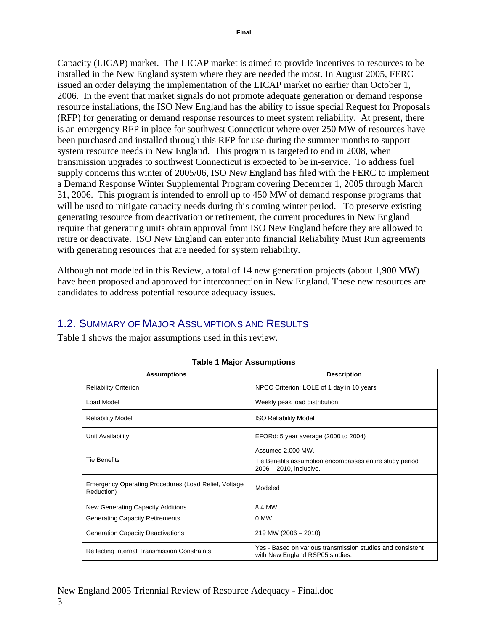<span id="page-2-1"></span>Capacity (LICAP) market. The LICAP market is aimed to provide incentives to resources to be installed in the New England system where they are needed the most. In August 2005, FERC issued an order delaying the implementation of the LICAP market no earlier than October 1, 2006. In the event that market signals do not promote adequate generation or demand response resource installations, the ISO New England has the ability to issue special Request for Proposals (RFP) for generating or demand response resources to meet system reliability. At present, there is an emergency RFP in place for southwest Connecticut where over 250 MW of resources have been purchased and installed through this RFP for use during the summer months to support system resource needs in New England. This program is targeted to end in 2008, when transmission upgrades to southwest Connecticut is expected to be in-service. To address fuel supply concerns this winter of 2005/06, ISO New England has filed with the FERC to implement a Demand Response Winter Supplemental Program covering December 1, 2005 through March 31, 2006. This program is intended to enroll up to 450 MW of demand response programs that will be used to mitigate capacity needs during this coming winter period. To preserve existing generating resource from deactivation or retirement, the current procedures in New England require that generating units obtain approval from ISO New England before they are allowed to retire or deactivate. ISO New England can enter into financial Reliability Must Run agreements with generating resources that are needed for system reliability.

Although not modeled in this Review, a total of 14 new generation projects (about 1,900 MW) have been proposed and approved for interconnection in New England. These new resources are candidates to address potential resource adequacy issues.

# 1.2. SUMMARY OF MAJOR ASSUMPTIONS AND RESULTS

<span id="page-2-0"></span>[Table 1](#page-2-0) shows the major assumptions used in this review.

| <b>Assumptions</b>                                                 | <b>Description</b>                                                                            |
|--------------------------------------------------------------------|-----------------------------------------------------------------------------------------------|
| <b>Reliability Criterion</b>                                       | NPCC Criterion: LOLE of 1 day in 10 years                                                     |
| Load Model                                                         | Weekly peak load distribution                                                                 |
| <b>Reliability Model</b>                                           | <b>ISO Reliability Model</b>                                                                  |
| Unit Availability                                                  | EFORd: 5 year average (2000 to 2004)                                                          |
|                                                                    | Assumed 2,000 MW.                                                                             |
| <b>Tie Benefits</b>                                                | Tie Benefits assumption encompasses entire study period<br>$2006 - 2010$ , inclusive.         |
| Emergency Operating Procedures (Load Relief, Voltage<br>Reduction) | Modeled                                                                                       |
| New Generating Capacity Additions                                  | 8.4 MW                                                                                        |
| <b>Generating Capacity Retirements</b>                             | 0 MW                                                                                          |
| <b>Generation Capacity Deactivations</b>                           | $219$ MW (2006 - 2010)                                                                        |
| Reflecting Internal Transmission Constraints                       | Yes - Based on various transmission studies and consistent<br>with New England RSP05 studies. |

#### **Table 1 Major Assumptions**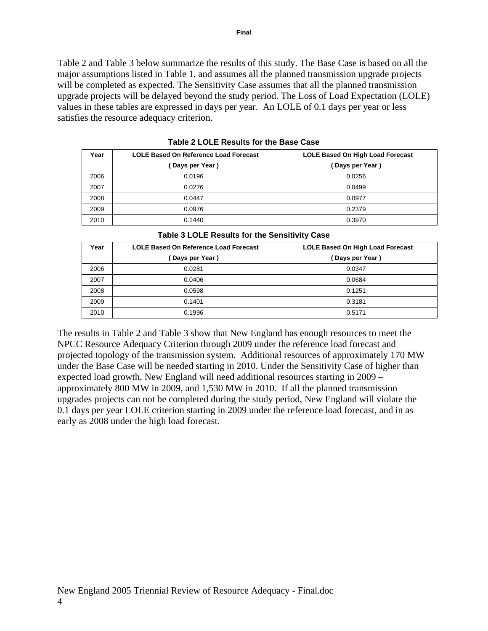<span id="page-3-2"></span>[Table 2](#page-3-0) and [Table 3](#page-3-1) below summarize the results of this study. The Base Case is based on all the major assumptions listed in [Table 1,](#page-2-0) and assumes all the planned transmission upgrade projects will be completed as expected. The Sensitivity Case assumes that all the planned transmission upgrade projects will be delayed beyond the study period. The Loss of Load Expectation (LOLE) values in these tables are expressed in days per year. An LOLE of 0.1 days per year or less satisfies the resource adequacy criterion.

<span id="page-3-0"></span>

| Year | <b>LOLE Based On Reference Load Forecast</b> | LOLE Based On High Load Forecast |
|------|----------------------------------------------|----------------------------------|
|      | Days per Year)                               | (Days per Year)                  |
| 2006 | 0.0196                                       | 0.0256                           |
| 2007 | 0.0276                                       | 0.0499                           |
| 2008 | 0.0447                                       | 0.0977                           |
| 2009 | 0.0976                                       | 0.2379                           |
| 2010 | 0.1440                                       | 0.3970                           |

**Table 2 LOLE Results for the Base Case** 

<span id="page-3-1"></span>

| Table 3 LOLE Results for the Sensitivity Case                                            |                 |                |  |
|------------------------------------------------------------------------------------------|-----------------|----------------|--|
| Year<br><b>LOLE Based On Reference Load Forecast</b><br>LOLE Based On High Load Forecast |                 |                |  |
|                                                                                          | (Days per Year) | Days per Year) |  |
| 2006                                                                                     | 0.0281          | 0.0347         |  |
| 2007                                                                                     | 0.0406          | 0.0684         |  |
| 2008                                                                                     | 0.0598          | 0.1251         |  |
| 2009                                                                                     | 0.1401          | 0.3181         |  |
| 2010                                                                                     | 0.1996          | 0.5171         |  |

The results in [Table 2](#page-3-0) and [Table 3](#page-3-1) show that New England has enough resources to meet the NPCC Resource Adequacy Criterion through 2009 under the reference load forecast and projected topology of the transmission system. Additional resources of approximately 170 MW under the Base Case will be needed starting in 2010. Under the Sensitivity Case of higher than expected load growth, New England will need additional resources starting in 2009 – approximately 800 MW in 2009, and 1,530 MW in 2010. If all the planned transmission upgrades projects can not be completed during the study period, New England will violate the 0.1 days per year LOLE criterion starting in 2009 under the reference load forecast, and in as

early as 2008 under the high load forecast.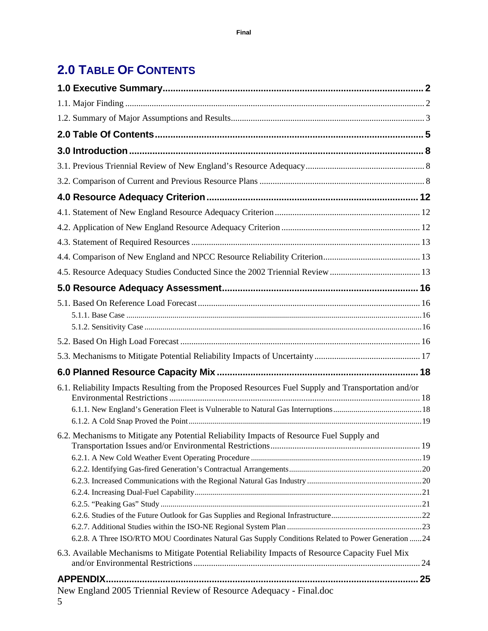# <span id="page-4-0"></span>**2.0 TABLE OF CONTENTS**

| 6.1. Reliability Impacts Resulting from the Proposed Resources Fuel Supply and Transportation and/or |  |
|------------------------------------------------------------------------------------------------------|--|
|                                                                                                      |  |
|                                                                                                      |  |
| 6.2. Mechanisms to Mitigate any Potential Reliability Impacts of Resource Fuel Supply and            |  |
|                                                                                                      |  |
|                                                                                                      |  |
|                                                                                                      |  |
|                                                                                                      |  |
|                                                                                                      |  |
|                                                                                                      |  |
|                                                                                                      |  |
| 6.2.8. A Three ISO/RTO MOU Coordinates Natural Gas Supply Conditions Related to Power Generation  24 |  |
| 6.3. Available Mechanisms to Mitigate Potential Reliability Impacts of Resource Capacity Fuel Mix    |  |
| 25                                                                                                   |  |
| New England 2005 Triennial Review of Resource Adequacy - Final.doc<br>5                              |  |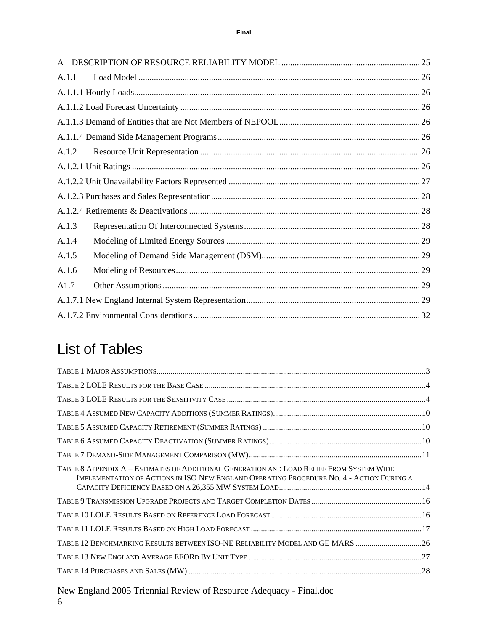| A.1.1 |  |
|-------|--|
|       |  |
|       |  |
|       |  |
|       |  |
| A.1.2 |  |
|       |  |
|       |  |
|       |  |
|       |  |
| A.1.3 |  |
| A.1.4 |  |
| A.1.5 |  |
| A.1.6 |  |
| A1.7  |  |
|       |  |
|       |  |
|       |  |

# List of Tables

| TABLE 8 APPENDIX A – ESTIMATES OF ADDITIONAL GENERATION AND LOAD RELIEF FROM SYSTEM WIDE<br>IMPLEMENTATION OF ACTIONS IN ISO NEW ENGLAND OPERATING PROCEDURE NO. 4 - ACTION DURING A |  |
|--------------------------------------------------------------------------------------------------------------------------------------------------------------------------------------|--|
|                                                                                                                                                                                      |  |
|                                                                                                                                                                                      |  |
|                                                                                                                                                                                      |  |
| TABLE 12 BENCHMARKING RESULTS BETWEEN ISO-NE RELIABILITY MODEL AND GE MARS 26                                                                                                        |  |
|                                                                                                                                                                                      |  |
|                                                                                                                                                                                      |  |

New England 2005 Triennial Review of Resource Adequacy - Final.doc 6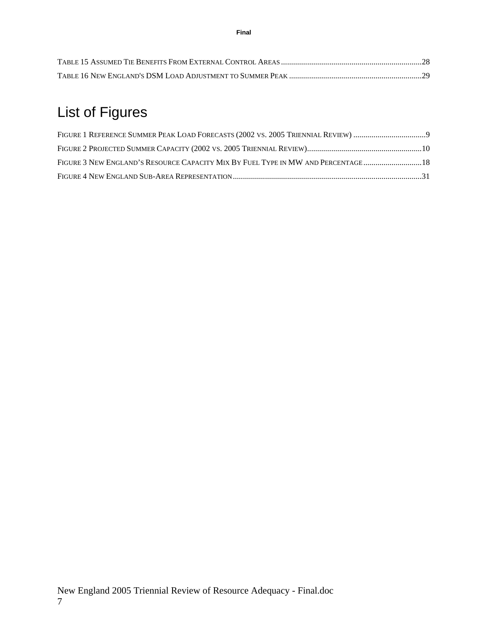# List of Figures

| FIGURE 3 NEW ENGLAND'S RESOURCE CAPACITY MIX BY FUEL TYPE IN MW AND PERCENTAGE18 |  |
|----------------------------------------------------------------------------------|--|
|                                                                                  |  |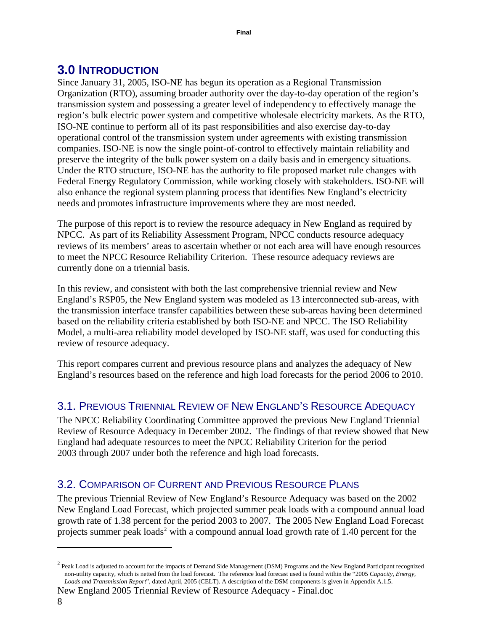# <span id="page-7-0"></span>**3.0 INTRODUCTION**

Since January 31, 2005, ISO-NE has begun its operation as a Regional Transmission Organization (RTO), assuming broader authority over the day-to-day operation of the region's transmission system and possessing a greater level of independency to effectively manage the region's bulk electric power system and competitive wholesale electricity markets. As the RTO, ISO-NE continue to perform all of its past responsibilities and also exercise day-to-day operational control of the transmission system under agreements with existing transmission companies. ISO-NE is now the single point-of-control to effectively maintain reliability and preserve the integrity of the bulk power system on a daily basis and in emergency situations. Under the RTO structure, ISO-NE has the authority to file proposed market rule changes with Federal Energy Regulatory Commission, while working closely with stakeholders. ISO-NE will also enhance the regional system planning process that identifies New England's electricity needs and promotes infrastructure improvements where they are most needed.

The purpose of this report is to review the resource adequacy in New England as required by NPCC. As part of its Reliability Assessment Program, NPCC conducts resource adequacy reviews of its members' areas to ascertain whether or not each area will have enough resources to meet the NPCC Resource Reliability Criterion. These resource adequacy reviews are currently done on a triennial basis.

In this review, and consistent with both the last comprehensive triennial review and New England's RSP05, the New England system was modeled as 13 interconnected sub-areas, with the transmission interface transfer capabilities between these sub-areas having been determined based on the reliability criteria established by both ISO-NE and NPCC. The ISO Reliability Model, a multi-area reliability model developed by ISO-NE staff, was used for conducting this review of resource adequacy.

This report compares current and previous resource plans and analyzes the adequacy of New England's resources based on the reference and high load forecasts for the period 2006 to 2010.

# 3.1. PREVIOUS TRIENNIAL REVIEW OF NEW ENGLAND'S RESOURCE ADEQUACY

The NPCC Reliability Coordinating Committee approved the previous New England Triennial Review of Resource Adequacy in December 2002. The findings of that review showed that New England had adequate resources to meet the NPCC Reliability Criterion for the period 2003 through 2007 under both the reference and high load forecasts.

# 3.2. COMPARISON OF CURRENT AND PREVIOUS RESOURCE PLANS

The previous Triennial Review of New England's Resource Adequacy was based on the 2002 New England Load Forecast, which projected summer peak loads with a compound annual load growth rate of 1.38 percent for the period 2003 to 2007. The 2005 New England Load Forecast projects summer peak loads<sup>[2](#page-7-1)</sup> with a compound annual load growth rate of 1.40 percent for the

<span id="page-7-1"></span> $^2$  Peak Load is adjusted to account for the impacts of Demand Side Management (DSM) Programs and the New England Participant recognized non-utility capacity, which is netted from the load forecast. The reference load forecast used is found within the "2005 *Capacity, Energy, Loads and Transmission Report*", dated April, 2005 (CELT)*.* A description of the DSM components is given in Appendix A.1.5.

New England 2005 Triennial Review of Resource Adequacy - Final.doc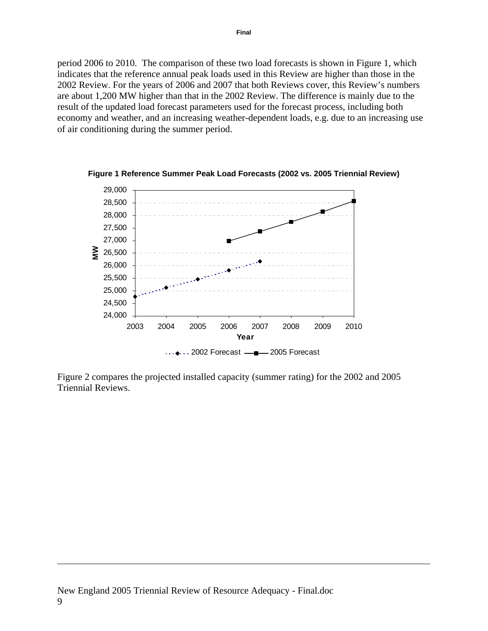<span id="page-8-0"></span>period 2006 to 2010. The comparison of these two load forecasts is shown in [Figure 1,](#page-8-1) which indicates that the reference annual peak loads used in this Review are higher than those in the 2002 Review. For the years of 2006 and 2007 that both Reviews cover, this Review's numbers are about 1,200 MW higher than that in the 2002 Review. The difference is mainly due to the result of the updated load forecast parameters used for the forecast process, including both economy and weather, and an increasing weather-dependent loads, e.g. due to an increasing use of air conditioning during the summer period.

<span id="page-8-1"></span>

**Figure 1 Reference Summer Peak Load Forecasts (2002 vs. 2005 Triennial Review)** 

[Figure 2](#page-9-1) compares the projected installed capacity (summer rating) for the 2002 and 2005 Triennial Reviews.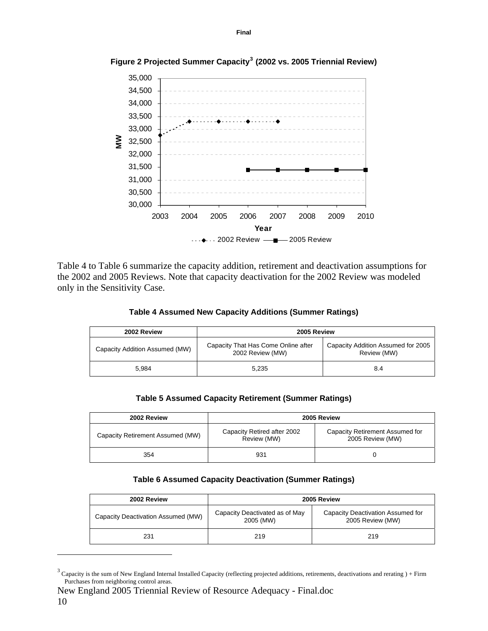<span id="page-9-1"></span>

<span id="page-9-0"></span>**Figure 2 Projected Summer Capacity[3](#page-9-2) (2002 vs. 2005 Triennial Review)** 

<span id="page-9-3"></span>[Table 4](#page-9-3) to [Table 6](#page-9-4) summarize the capacity addition, retirement and deactivation assumptions for the 2002 and 2005 Reviews. Note that capacity deactivation for the 2002 Review was modeled only in the Sensitivity Case.

| Table 4 Assumed New Capacity Additions (Summer Ratings) |  |  |
|---------------------------------------------------------|--|--|
|---------------------------------------------------------|--|--|

| 2002 Review                    | 2005 Review                                             |                                                   |  |
|--------------------------------|---------------------------------------------------------|---------------------------------------------------|--|
| Capacity Addition Assumed (MW) | Capacity That Has Come Online after<br>2002 Review (MW) | Capacity Addition Assumed for 2005<br>Review (MW) |  |
| 5.984                          | 5.235                                                   | 8.4                                               |  |

|  |  |  | Table 5 Assumed Capacity Retirement (Summer Ratings) |
|--|--|--|------------------------------------------------------|
|--|--|--|------------------------------------------------------|

| 2002 Review                      | 2005 Review                                |                                                     |  |
|----------------------------------|--------------------------------------------|-----------------------------------------------------|--|
| Capacity Retirement Assumed (MW) | Capacity Retired after 2002<br>Review (MW) | Capacity Retirement Assumed for<br>2005 Review (MW) |  |
| 354                              | 931                                        |                                                     |  |

#### **Table 6 Assumed Capacity Deactivation (Summer Ratings)**

<span id="page-9-4"></span>

| 2002 Review                        | 2005 Review                                 |                                                       |  |  |
|------------------------------------|---------------------------------------------|-------------------------------------------------------|--|--|
| Capacity Deactivation Assumed (MW) | Capacity Deactivated as of May<br>2005 (MW) | Capacity Deactivation Assumed for<br>2005 Review (MW) |  |  |
| 231                                | 219                                         | 219                                                   |  |  |

<span id="page-9-2"></span><sup>&</sup>lt;sup>3</sup> Capacity is the sum of New England Internal Installed Capacity (reflecting projected additions, retirements, deactivations and rerating  $)+$  Firm Purchases from neighboring control areas.

New England 2005 Triennial Review of Resource Adequacy - Final.doc 10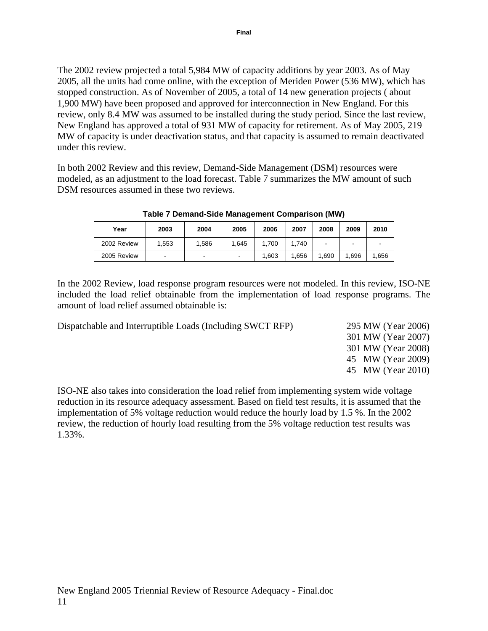<span id="page-10-0"></span>The 2002 review projected a total 5,984 MW of capacity additions by year 2003. As of May 2005, all the units had come online, with the exception of Meriden Power (536 MW), which has stopped construction. As of November of 2005, a total of 14 new generation projects ( about 1,900 MW) have been proposed and approved for interconnection in New England. For this review, only 8.4 MW was assumed to be installed during the study period. Since the last review, New England has approved a total of 931 MW of capacity for retirement. As of May 2005, 219 MW of capacity is under deactivation status, and that capacity is assumed to remain deactivated under this review.

<span id="page-10-1"></span>In both 2002 Review and this review, Demand-Side Management (DSM) resources were modeled, as an adjustment to the load forecast. [Table 7](#page-10-1) summarizes the MW amount of such DSM resources assumed in these two reviews.

| Year        | 2003 | 2004                     | 2005  | 2006  | 2007 | 2008 | 2009  | 2010 |
|-------------|------|--------------------------|-------|-------|------|------|-------|------|
| 2002 Review | .553 | 1,586                    | 1.645 | 1.700 | .740 |      |       | -    |
| 2005 Review | -    | $\overline{\phantom{0}}$ | -     | .603  | .656 | .690 | 1.696 | .656 |

**Table 7 Demand-Side Management Comparison (MW)** 

In the 2002 Review, load response program resources were not modeled. In this review, ISO-NE included the load relief obtainable from the implementation of load response programs. The amount of load relief assumed obtainable is:

Dispatchable and Interruptible Loads (Including SWCT RFP) 295 MW (Year 2006)

 301 MW (Year 2007) 301 MW (Year 2008) 45 MW (Year 2009) 45 MW (Year 2010)

ISO-NE also takes into consideration the load relief from implementing system wide voltage reduction in its resource adequacy assessment. Based on field test results, it is assumed that the implementation of 5% voltage reduction would reduce the hourly load by 1.5 %. In the 2002 review, the reduction of hourly load resulting from the 5% voltage reduction test results was 1.33%.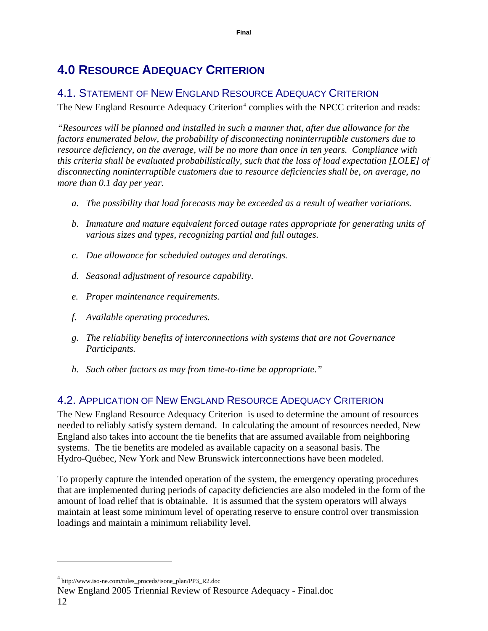# <span id="page-11-0"></span>**4.0 RESOURCE ADEQUACY CRITERION**

# 4.1. STATEMENT OF NEW ENGLAND RESOURCE ADEQUACY CRITERION

The New England Resource Adequacy Criterion<sup>[4](#page-11-1)</sup> complies with the NPCC criterion and reads:

*"Resources will be planned and installed in such a manner that, after due allowance for the factors enumerated below, the probability of disconnecting noninterruptible customers due to resource deficiency, on the average, will be no more than once in ten years. Compliance with this criteria shall be evaluated probabilistically, such that the loss of load expectation [LOLE] of disconnecting noninterruptible customers due to resource deficiencies shall be, on average, no more than 0.1 day per year.* 

- *a. The possibility that load forecasts may be exceeded as a result of weather variations.*
- *b. Immature and mature equivalent forced outage rates appropriate for generating units of various sizes and types, recognizing partial and full outages.*
- *c. Due allowance for scheduled outages and deratings.*
- *d. Seasonal adjustment of resource capability.*
- *e. Proper maintenance requirements.*
- *f. Available operating procedures.*
- *g. The reliability benefits of interconnections with systems that are not Governance Participants.*
- *h. Such other factors as may from time-to-time be appropriate."*

# 4.2. APPLICATION OF NEW ENGLAND RESOURCE ADEQUACY CRITERION

The New England Resource Adequacy Criterion is used to determine the amount of resources needed to reliably satisfy system demand. In calculating the amount of resources needed, New England also takes into account the tie benefits that are assumed available from neighboring systems. The tie benefits are modeled as available capacity on a seasonal basis. The Hydro-Québec, New York and New Brunswick interconnections have been modeled.

To properly capture the intended operation of the system, the emergency operating procedures that are implemented during periods of capacity deficiencies are also modeled in the form of the amount of load relief that is obtainable. It is assumed that the system operators will always maintain at least some minimum level of operating reserve to ensure control over transmission loadings and maintain a minimum reliability level.

<span id="page-11-1"></span><sup>4</sup> http://www.iso-ne.com/rules\_proceds/isone\_plan/PP3\_R2.doc

New England 2005 Triennial Review of Resource Adequacy - Final.doc 12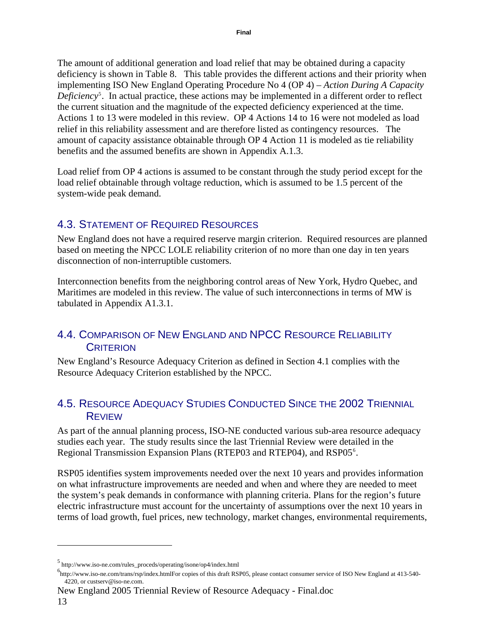<span id="page-12-0"></span>The amount of additional generation and load relief that may be obtained during a capacity deficiency is shown in [Table 8.](#page-13-1) This table provides the different actions and their priority when implementing ISO New England Operating Procedure No 4 (OP 4) – *Action During A Capacity*  Deficiency<sup>[5](#page-12-1)</sup>. In actual practice, these actions may be implemented in a different order to reflect the current situation and the magnitude of the expected deficiency experienced at the time. Actions 1 to 13 were modeled in this review. OP 4 Actions 14 to 16 were not modeled as load relief in this reliability assessment and are therefore listed as contingency resources. The amount of capacity assistance obtainable through OP 4 Action 11 is modeled as tie reliability benefits and the assumed benefits are shown in Appendix A.1.3.

Load relief from OP 4 actions is assumed to be constant through the study period except for the load relief obtainable through voltage reduction, which is assumed to be 1.5 percent of the system-wide peak demand.

# 4.3. STATEMENT OF REQUIRED RESOURCES

New England does not have a required reserve margin criterion. Required resources are planned based on meeting the NPCC LOLE reliability criterion of no more than one day in ten years disconnection of non-interruptible customers.

Interconnection benefits from the neighboring control areas of New York, Hydro Quebec, and Maritimes are modeled in this review. The value of such interconnections in terms of MW is tabulated in Appendix A1.3.1.

# 4.4. COMPARISON OF NEW ENGLAND AND NPCC RESOURCE RELIABILITY **CRITERION**

New England's Resource Adequacy Criterion as defined in Section 4.1 complies with the Resource Adequacy Criterion established by the NPCC.

# 4.5. RESOURCE ADEQUACY STUDIES CONDUCTED SINCE THE 2002 TRIENNIAL REVIEW

As part of the annual planning process, ISO-NE conducted various sub-area resource adequacy studies each year. The study results since the last Triennial Review were detailed in the Regional Transmission Expansion Plans (RTEP03 and RTEP04), and RSP05<sup>[6](#page-12-2)</sup>.

RSP05 identifies system improvements needed over the next 10 years and provides information on what infrastructure improvements are needed and when and where they are needed to meet the system's peak demands in conformance with planning criteria. Plans for the region's future electric infrastructure must account for the uncertainty of assumptions over the next 10 years in terms of load growth, fuel prices, new technology, market changes, environmental requirements,

<span id="page-12-1"></span> $^{5}$  http://www.iso-ne.com/rules\_proceds/operating/isone/op4/index.html<br> $^{6}$ 

<span id="page-12-2"></span>http://www.iso-ne.com/trans/rsp/index.htmlFor copies of this draft RSP05, please contact consumer service of ISO New England at 413-540- 4220, or custserv@iso-ne.com.

New England 2005 Triennial Review of Resource Adequacy - Final.doc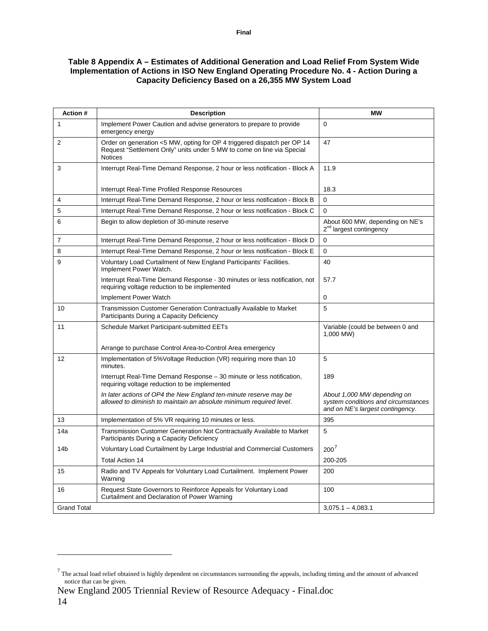#### <span id="page-13-1"></span><span id="page-13-0"></span>**Table 8 Appendix A – Estimates of Additional Generation and Load Relief From System Wide Implementation of Actions in ISO New England Operating Procedure No. 4 - Action During a Capacity Deficiency Based on a 26,355 MW System Load**

| Action #           | <b>Description</b>                                                                                                                                                  | МW                                                                                                     |
|--------------------|---------------------------------------------------------------------------------------------------------------------------------------------------------------------|--------------------------------------------------------------------------------------------------------|
| 1                  | Implement Power Caution and advise generators to prepare to provide<br>emergency energy                                                                             | $\Omega$                                                                                               |
| 2                  | Order on generation <5 MW, opting for OP 4 triggered dispatch per OP 14<br>Request "Settlement Only" units under 5 MW to come on line via Special<br><b>Notices</b> | 47                                                                                                     |
| 3                  | Interrupt Real-Time Demand Response, 2 hour or less notification - Block A                                                                                          | 11.9                                                                                                   |
|                    | Interrupt Real-Time Profiled Response Resources                                                                                                                     | 18.3                                                                                                   |
| 4                  | Interrupt Real-Time Demand Response, 2 hour or less notification - Block B                                                                                          | $\Omega$                                                                                               |
| 5                  | Interrupt Real-Time Demand Response, 2 hour or less notification - Block C                                                                                          | $\Omega$                                                                                               |
| 6                  | Begin to allow depletion of 30-minute reserve                                                                                                                       | About 600 MW, depending on NE's<br>2 <sup>nd</sup> largest contingency                                 |
| 7                  | Interrupt Real-Time Demand Response, 2 hour or less notification - Block D                                                                                          | $\Omega$                                                                                               |
| 8                  | Interrupt Real-Time Demand Response, 2 hour or less notification - Block E                                                                                          | $\mathbf 0$                                                                                            |
| 9                  | Voluntary Load Curtailment of New England Participants' Facilities.<br>Implement Power Watch.                                                                       | 40                                                                                                     |
|                    | Interrupt Real-Time Demand Response - 30 minutes or less notification, not<br>requiring voltage reduction to be implemented                                         | 57.7                                                                                                   |
|                    | Implement Power Watch                                                                                                                                               | 0                                                                                                      |
| 10                 | Transmission Customer Generation Contractually Available to Market<br>Participants During a Capacity Deficiency                                                     | 5                                                                                                      |
| 11                 | Schedule Market Participant-submitted EETs                                                                                                                          | Variable (could be between 0 and<br>1,000 MW)                                                          |
|                    | Arrange to purchase Control Area-to-Control Area emergency                                                                                                          |                                                                                                        |
| 12                 | Implementation of 5% Voltage Reduction (VR) requiring more than 10<br>minutes.                                                                                      | 5                                                                                                      |
|                    | Interrupt Real-Time Demand Response - 30 minute or less notification,<br>requiring voltage reduction to be implemented                                              | 189                                                                                                    |
|                    | In later actions of OP4 the New England ten-minute reserve may be<br>allowed to diminish to maintain an absolute minimum required level.                            | About 1,000 MW depending on<br>system conditions and circumstances<br>and on NE's largest contingency. |
| 13                 | Implementation of 5% VR requiring 10 minutes or less.                                                                                                               | 395                                                                                                    |
| 14a                | Transmission Customer Generation Not Contractually Available to Market<br>Participants During a Capacity Deficiency                                                 | 5                                                                                                      |
| 14b                | Voluntary Load Curtailment by Large Industrial and Commercial Customers                                                                                             | 200'                                                                                                   |
|                    | <b>Total Action 14</b>                                                                                                                                              | 200-205                                                                                                |
| 15                 | Radio and TV Appeals for Voluntary Load Curtailment. Implement Power<br>Warning                                                                                     | 200                                                                                                    |
| 16                 | Request State Governors to Reinforce Appeals for Voluntary Load<br>Curtailment and Declaration of Power Warning                                                     | 100                                                                                                    |
| <b>Grand Total</b> |                                                                                                                                                                     | $3,075.1 - 4,083.1$                                                                                    |

New England 2005 Triennial Review of Resource Adequacy - Final.doc

<span id="page-13-2"></span> $<sup>7</sup>$  The actual load relief obtained is highly dependent on circumstances surrounding the appeals, including timing and the amount of advanced</sup> notice that can be given.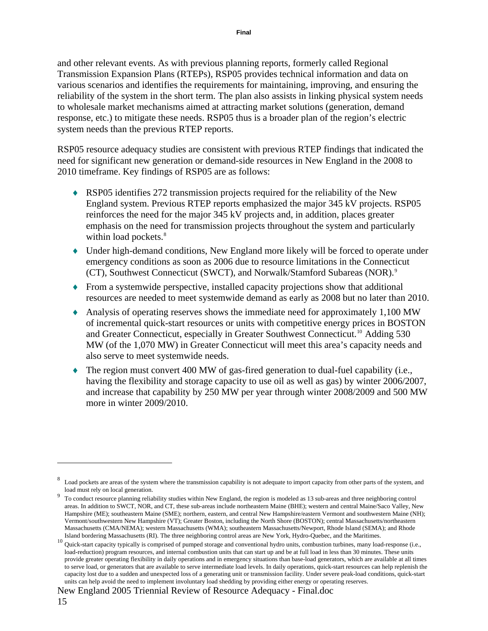and other relevant events. As with previous planning reports, formerly called Regional Transmission Expansion Plans (RTEPs), RSP05 provides technical information and data on various scenarios and identifies the requirements for maintaining, improving, and ensuring the reliability of the system in the short term. The plan also assists in linking physical system needs to wholesale market mechanisms aimed at attracting market solutions (generation, demand response, etc.) to mitigate these needs. RSP05 thus is a broader plan of the region's electric system needs than the previous RTEP reports.

RSP05 resource adequacy studies are consistent with previous RTEP findings that indicated the need for significant new generation or demand-side resources in New England in the 2008 to 2010 timeframe. Key findings of RSP05 are as follows:

- ♦ RSP05 identifies 272 transmission projects required for the reliability of the New England system. Previous RTEP reports emphasized the major 345 kV projects. RSP05 reinforces the need for the major 345 kV projects and, in addition, places greater emphasis on the need for transmission projects throughout the system and particularly within load pockets.<sup>8</sup>
- ♦ Under high-demand conditions, New England more likely will be forced to operate under emergency conditions as soon as 2006 due to resource limitations in the Connecticut (CT), Southwest Connecticut (SWCT), and Norwalk/Stamford Subareas (NOR).<sup>[9](#page-14-1)</sup>
- ♦ From a systemwide perspective, installed capacity projections show that additional resources are needed to meet systemwide demand as early as 2008 but no later than 2010.
- ♦ Analysis of operating reserves shows the immediate need for approximately 1,100 MW of incremental quick-start resources or units with competitive energy prices in BOSTON and Greater Connecticut, especially in Greater Southwest Connecticut.<sup>[10](#page-14-2)</sup> Adding 530 MW (of the 1,070 MW) in Greater Connecticut will meet this area's capacity needs and also serve to meet systemwide needs.
- $\bullet$  The region must convert 400 MW of gas-fired generation to dual-fuel capability (i.e., having the flexibility and storage capacity to use oil as well as gas) by winter 2006/2007, and increase that capability by 250 MW per year through winter 2008/2009 and 500 MW more in winter 2009/2010.

<span id="page-14-0"></span><sup>8</sup> Load pockets are areas of the system where the transmission capability is not adequate to import capacity from other parts of the system, and load must rely on local generation.

<span id="page-14-1"></span>To conduct resource planning reliability studies within New England, the region is modeled as 13 sub-areas and three neighboring control areas. In addition to SWCT, NOR, and CT, these sub-areas include northeastern Maine (BHE); western and central Maine/Saco Valley, New Hampshire (ME); southeastern Maine (SME); northern, eastern, and central New Hampshire/eastern Vermont and southwestern Maine (NH); Vermont/southwestern New Hampshire (VT); Greater Boston, including the North Shore (BOSTON); central Massachusetts/northeastern Massachusetts (CMA/NEMA); western Massachusetts (WMA); southeastern Massachusetts/Newport, Rhode Island (SEMA); and Rhode

<span id="page-14-2"></span>Island bordering Massachusetts (RI). The three neighboring control areas are New York, Hydro-Quebec, and the Maritimes.<br><sup>10</sup> Quick-start capacity typically is comprised of pumped storage and conventional hydro units, combu load-reduction) program resources, and internal combustion units that can start up and be at full load in less than 30 minutes. These units provide greater operating flexibility in daily operations and in emergency situations than base-load generators, which are available at all times to serve load, or generators that are available to serve intermediate load levels. In daily operations, quick-start resources can help replenish the capacity lost due to a sudden and unexpected loss of a generating unit or transmission facility. Under severe peak-load conditions, quick-start units can help avoid the need to implement involuntary load shedding by providing either energy or operating reserves.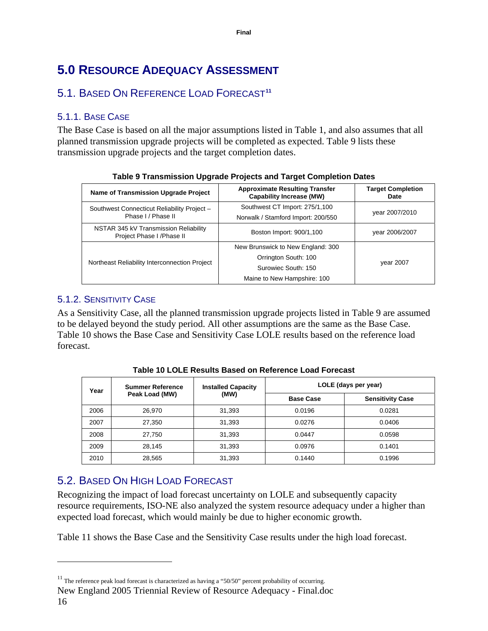# <span id="page-15-0"></span>**5.0 RESOURCE ADEQUACY ASSESSMENT**

# 5.1. BASED ON REFERENCE LOAD FORECAST**[11](#page-15-1)**

# 5.1.1. BASE CASE

<span id="page-15-2"></span>The Base Case is based on all the major assumptions listed in [Table 1](#page-2-0), and also assumes that all planned transmission upgrade projects will be completed as expected. [Table 9](#page-15-2) lists these transmission upgrade projects and the target completion dates.

| Name of Transmission Upgrade Project                              | <b>Approximate Resulting Transfer</b><br><b>Capability Increase (MW)</b> | <b>Target Completion</b><br>Date |  |
|-------------------------------------------------------------------|--------------------------------------------------------------------------|----------------------------------|--|
| Southwest Connecticut Reliability Project -                       | Southwest CT Import: 275/1,100                                           | year 2007/2010                   |  |
| Phase I / Phase II                                                | Norwalk / Stamford Import: 200/550                                       |                                  |  |
| NSTAR 345 kV Transmission Reliability<br>Project Phase I/Phase II | Boston Import: 900/1,100                                                 | year 2006/2007                   |  |
|                                                                   | New Brunswick to New England: 300                                        |                                  |  |
|                                                                   | Orrington South: 100                                                     | vear 2007                        |  |
| Northeast Reliability Interconnection Project                     | Surowiec South: 150                                                      |                                  |  |
|                                                                   | Maine to New Hampshire: 100                                              |                                  |  |

|  | Table 9 Transmission Upgrade Projects and Target Completion Dates |  |  |
|--|-------------------------------------------------------------------|--|--|
|  |                                                                   |  |  |

## 5.1.2. SENSITIVITY CASE

<span id="page-15-3"></span>As a Sensitivity Case, all the planned transmission upgrade projects listed in [Table 9](#page-15-2) are assumed to be delayed beyond the study period. All other assumptions are the same as the Base Case. [Table 10](#page-15-3) shows the Base Case and Sensitivity Case LOLE results based on the reference load forecast.

| <b>Summer Reference</b><br>Year<br>Peak Load (MW) |        | <b>Installed Capacity</b> | LOLE (days per year)    |        |  |
|---------------------------------------------------|--------|---------------------------|-------------------------|--------|--|
|                                                   | (MW)   | <b>Base Case</b>          | <b>Sensitivity Case</b> |        |  |
| 2006                                              | 26,970 | 31,393                    | 0.0196                  | 0.0281 |  |
| 2007                                              | 27,350 | 31,393                    | 0.0276                  | 0.0406 |  |
| 2008                                              | 27.750 | 31,393                    | 0.0447                  | 0.0598 |  |
| 2009                                              | 28.145 | 31.393                    | 0.0976                  | 0.1401 |  |
| 2010                                              | 28,565 | 31,393                    | 0.1440                  | 0.1996 |  |

**Table 10 LOLE Results Based on Reference Load Forecast** 

# 5.2. BASED ON HIGH LOAD FORECAST

Recognizing the impact of load forecast uncertainty on LOLE and subsequently capacity resource requirements, ISO-NE also analyzed the system resource adequacy under a higher than expected load forecast, which would mainly be due to higher economic growth.

[Table 11](#page-16-1) shows the Base Case and the Sensitivity Case results under the high load forecast.

<span id="page-15-1"></span> $11$  The reference peak load forecast is characterized as having a "50/50" percent probability of occurring.

New England 2005 Triennial Review of Resource Adequacy - Final.doc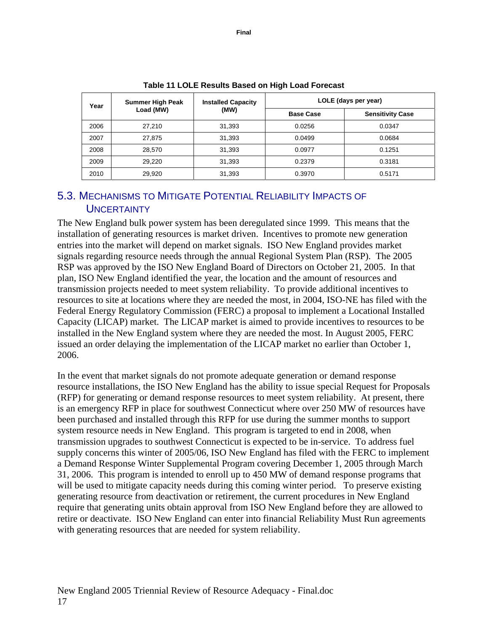<span id="page-16-1"></span><span id="page-16-0"></span>

| Year      | <b>Summer High Peak</b> | <b>Installed Capacity</b> | LOLE (days per year)    |        |  |  |  |
|-----------|-------------------------|---------------------------|-------------------------|--------|--|--|--|
| Load (MW) | (MW)                    | <b>Base Case</b>          | <b>Sensitivity Case</b> |        |  |  |  |
| 2006      | 27.210                  | 31,393                    | 0.0256                  | 0.0347 |  |  |  |
| 2007      | 27.875                  | 31.393                    | 0.0499                  | 0.0684 |  |  |  |
| 2008      | 28.570                  | 31.393                    | 0.0977                  | 0.1251 |  |  |  |
| 2009      | 29.220                  | 31,393                    | 0.2379                  | 0.3181 |  |  |  |
| 2010      | 29.920                  | 31,393                    | 0.3970                  | 0.5171 |  |  |  |

**Table 11 LOLE Results Based on High Load Forecast** 

# 5.3. MECHANISMS TO MITIGATE POTENTIAL RELIABILITY IMPACTS OF **UNCERTAINTY**

The New England bulk power system has been deregulated since 1999. This means that the installation of generating resources is market driven. Incentives to promote new generation entries into the market will depend on market signals. ISO New England provides market signals regarding resource needs through the annual Regional System Plan (RSP). The 2005 RSP was approved by the ISO New England Board of Directors on October 21, 2005. In that plan, ISO New England identified the year, the location and the amount of resources and transmission projects needed to meet system reliability. To provide additional incentives to resources to site at locations where they are needed the most, in 2004, ISO-NE has filed with the Federal Energy Regulatory Commission (FERC) a proposal to implement a Locational Installed Capacity (LICAP) market. The LICAP market is aimed to provide incentives to resources to be installed in the New England system where they are needed the most. In August 2005, FERC issued an order delaying the implementation of the LICAP market no earlier than October 1, 2006.

In the event that market signals do not promote adequate generation or demand response resource installations, the ISO New England has the ability to issue special Request for Proposals (RFP) for generating or demand response resources to meet system reliability. At present, there is an emergency RFP in place for southwest Connecticut where over 250 MW of resources have been purchased and installed through this RFP for use during the summer months to support system resource needs in New England. This program is targeted to end in 2008, when transmission upgrades to southwest Connecticut is expected to be in-service. To address fuel supply concerns this winter of 2005/06, ISO New England has filed with the FERC to implement a Demand Response Winter Supplemental Program covering December 1, 2005 through March 31, 2006. This program is intended to enroll up to 450 MW of demand response programs that will be used to mitigate capacity needs during this coming winter period. To preserve existing generating resource from deactivation or retirement, the current procedures in New England require that generating units obtain approval from ISO New England before they are allowed to retire or deactivate. ISO New England can enter into financial Reliability Must Run agreements with generating resources that are needed for system reliability.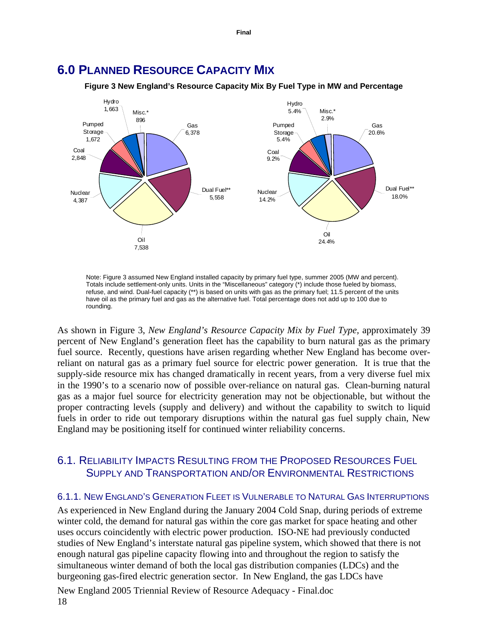

<span id="page-17-1"></span><span id="page-17-0"></span>**6.0 PLANNED RESOURCE CAPACITY MIX**

**Figure 3 New England's Resource Capacity Mix By Fuel Type in MW and Percentage** 

Note: Figure 3 assumed New England installed capacity by primary fuel type, summer 2005 (MW and percent). Totals include settlement-only units. Units in the "Miscellaneous" category (\*) include those fueled by biomass, refuse, and wind. Dual-fuel capacity (\*\*) is based on units with gas as the primary fuel; 11.5 percent of the units have oil as the primary fuel and gas as the alternative fuel. Total percentage does not add up to 100 due to rounding.

As shown in [Figure 3](#page-17-1), *New England's Resource Capacity Mix by Fuel Type,* approximately 39 percent of New England's generation fleet has the capability to burn natural gas as the primary fuel source. Recently, questions have arisen regarding whether New England has become overreliant on natural gas as a primary fuel source for electric power generation. It is true that the supply-side resource mix has changed dramatically in recent years, from a very diverse fuel mix in the 1990's to a scenario now of possible over-reliance on natural gas. Clean-burning natural gas as a major fuel source for electricity generation may not be objectionable, but without the proper contracting levels (supply and delivery) and without the capability to switch to liquid fuels in order to ride out temporary disruptions within the natural gas fuel supply chain, New England may be positioning itself for continued winter reliability concerns.

## 6.1. RELIABILITY IMPACTS RESULTING FROM THE PROPOSED RESOURCES FUEL SUPPLY AND TRANSPORTATION AND/OR ENVIRONMENTAL RESTRICTIONS

#### 6.1.1. NEW ENGLAND'S GENERATION FLEET IS VULNERABLE TO NATURAL GAS INTERRUPTIONS

As experienced in New England during the January 2004 Cold Snap, during periods of extreme winter cold, the demand for natural gas within the core gas market for space heating and other uses occurs coincidently with electric power production. ISO-NE had previously conducted studies of New England's interstate natural gas pipeline system, which showed that there is not enough natural gas pipeline capacity flowing into and throughout the region to satisfy the simultaneous winter demand of both the local gas distribution companies (LDCs) and the burgeoning gas-fired electric generation sector. In New England, the gas LDCs have

New England 2005 Triennial Review of Resource Adequacy - Final.doc 18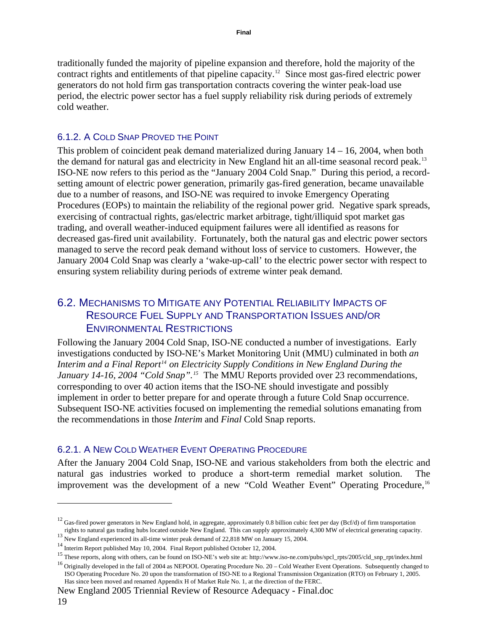<span id="page-18-0"></span>traditionally funded the majority of pipeline expansion and therefore, hold the majority of the contract rights and entitlements of that pipeline capacity.<sup>[12](#page-18-1)</sup> Since most gas-fired electric power generators do not hold firm gas transportation contracts covering the winter peak-load use period, the electric power sector has a fuel supply reliability risk during periods of extremely cold weather.

#### 6.1.2. A COLD SNAP PROVED THE POINT

This problem of coincident peak demand materialized during January 14 – 16, 2004, when both the demand for natural gas and electricity in New England hit an all-time seasonal record peak.[13](#page-18-2)  ISO-NE now refers to this period as the "January 2004 Cold Snap." During this period, a recordsetting amount of electric power generation, primarily gas-fired generation, became unavailable due to a number of reasons, and ISO-NE was required to invoke Emergency Operating Procedures (EOPs) to maintain the reliability of the regional power grid. Negative spark spreads, exercising of contractual rights, gas/electric market arbitrage, tight/illiquid spot market gas trading, and overall weather-induced equipment failures were all identified as reasons for decreased gas-fired unit availability. Fortunately, both the natural gas and electric power sectors managed to serve the record peak demand without loss of service to customers. However, the January 2004 Cold Snap was clearly a 'wake-up-call' to the electric power sector with respect to ensuring system reliability during periods of extreme winter peak demand.

# 6.2. MECHANISMS TO MITIGATE ANY POTENTIAL RELIABILITY IMPACTS OF RESOURCE FUEL SUPPLY AND TRANSPORTATION ISSUES AND/OR ENVIRONMENTAL RESTRICTIONS

Following the January 2004 Cold Snap, ISO-NE conducted a number of investigations. Early investigations conducted by ISO-NE's Market Monitoring Unit (MMU) culminated in both *an Interim and a Final Report[14](#page-18-3) on Electricity Supply Conditions in New England During the January 14-16, 2004 "Cold Snap".*<sup>[15](#page-18-4)</sup> The MMU Reports provided over 23 recommendations, corresponding to over 40 action items that the ISO-NE should investigate and possibly implement in order to better prepare for and operate through a future Cold Snap occurrence. Subsequent ISO-NE activities focused on implementing the remedial solutions emanating from the recommendations in those *Interim* and *Final* Cold Snap reports.

#### 6.2.1. A NEW COLD WEATHER EVENT OPERATING PROCEDURE

After the January 2004 Cold Snap, ISO-NE and various stakeholders from both the electric and natural gas industries worked to produce a short-term remedial market solution. The improvement was the development of a new "Cold Weather Event" Operating Procedure,<sup>[16](#page-18-5)</sup>

New England 2005 Triennial Review of Resource Adequacy - Final.doc

<span id="page-18-1"></span><sup>&</sup>lt;sup>12</sup> Gas-fired power generators in New England hold, in aggregate, approximately 0.8 billion cubic feet per day (Bcf/d) of firm transportation rights to natural gas trading hubs located outside New England. This can suppl

<span id="page-18-4"></span><span id="page-18-3"></span>

<span id="page-18-2"></span><sup>&</sup>lt;sup>13</sup><br>
New England experienced its all-time winter peak demand of 22,818 MW on January 15, 2004.<br>
<sup>14</sup> Interim Report published May 10, 2004. Final Report published October 12, 2004.<br>
<sup>15</sup> These reports, along with others,

<span id="page-18-5"></span>ISO Operating Procedure No. 20 upon the transformation of ISO-NE to a Regional Transmission Organization (RTO) on February 1, 2005. Has since been moved and renamed Appendix H of Market Rule No. 1, at the direction of the FERC.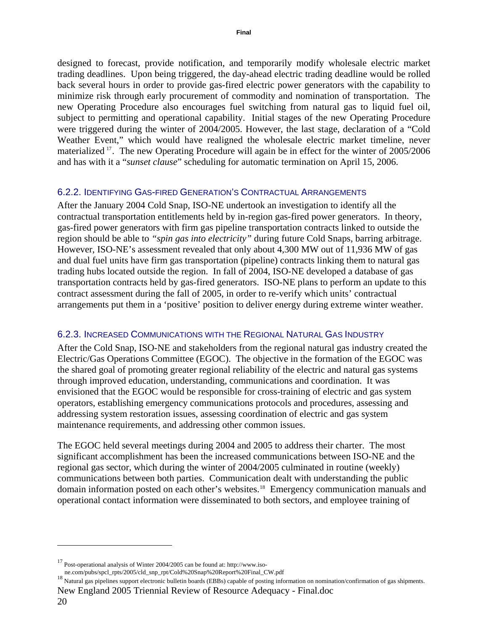<span id="page-19-0"></span>designed to forecast, provide notification, and temporarily modify wholesale electric market trading deadlines. Upon being triggered, the day-ahead electric trading deadline would be rolled back several hours in order to provide gas-fired electric power generators with the capability to minimize risk through early procurement of commodity and nomination of transportation. The new Operating Procedure also encourages fuel switching from natural gas to liquid fuel oil, subject to permitting and operational capability. Initial stages of the new Operating Procedure were triggered during the winter of 2004/2005. However, the last stage, declaration of a "Cold Weather Event," which would have realigned the wholesale electric market timeline, never materialized [17](#page-19-1). The new Operating Procedure will again be in effect for the winter of 2005/2006 and has with it a "*sunset clause*" scheduling for automatic termination on April 15, 2006.

#### 6.2.2. IDENTIFYING GAS-FIRED GENERATION'S CONTRACTUAL ARRANGEMENTS

After the January 2004 Cold Snap, ISO-NE undertook an investigation to identify all the contractual transportation entitlements held by in-region gas-fired power generators. In theory, gas-fired power generators with firm gas pipeline transportation contracts linked to outside the region should be able to *"spin gas into electricity"* during future Cold Snaps, barring arbitrage. However, ISO-NE's assessment revealed that only about 4,300 MW out of 11,936 MW of gas and dual fuel units have firm gas transportation (pipeline) contracts linking them to natural gas trading hubs located outside the region. In fall of 2004, ISO-NE developed a database of gas transportation contracts held by gas-fired generators. ISO-NE plans to perform an update to this contract assessment during the fall of 2005, in order to re-verify which units' contractual arrangements put them in a 'positive' position to deliver energy during extreme winter weather.

#### 6.2.3. INCREASED COMMUNICATIONS WITH THE REGIONAL NATURAL GAS INDUSTRY

After the Cold Snap, ISO-NE and stakeholders from the regional natural gas industry created the Electric/Gas Operations Committee (EGOC). The objective in the formation of the EGOC was the shared goal of promoting greater regional reliability of the electric and natural gas systems through improved education, understanding, communications and coordination. It was envisioned that the EGOC would be responsible for cross-training of electric and gas system operators, establishing emergency communications protocols and procedures, assessing and addressing system restoration issues, assessing coordination of electric and gas system maintenance requirements, and addressing other common issues.

The EGOC held several meetings during 2004 and 2005 to address their charter. The most significant accomplishment has been the increased communications between ISO-NE and the regional gas sector, which during the winter of 2004/2005 culminated in routine (weekly) communications between both parties. Communication dealt with understanding the public domain information posted on each other's websites.[18](#page-19-2) Emergency communication manuals and operational contact information were disseminated to both sectors, and employee training of

<span id="page-19-1"></span><sup>&</sup>lt;sup>17</sup> Post-operational analysis of Winter 2004/2005 can be found at: http://www.iso-<br>ne.com/pubs/spcl\_rpts/2005/cld\_snp\_rpt/Cold%20Snap%20Report%20Final\_CW.pdf

<span id="page-19-2"></span>New England 2005 Triennial Review of Resource Adequacy - Final.doc ne.com/pubs/spcl\_pts/2005/cd\_snp\_rpt=/perosent/cold=18 Natural gas pipelines support electronic bulletin boards (EBBs) capable of posting information on nomination/confirmation of gas shipments.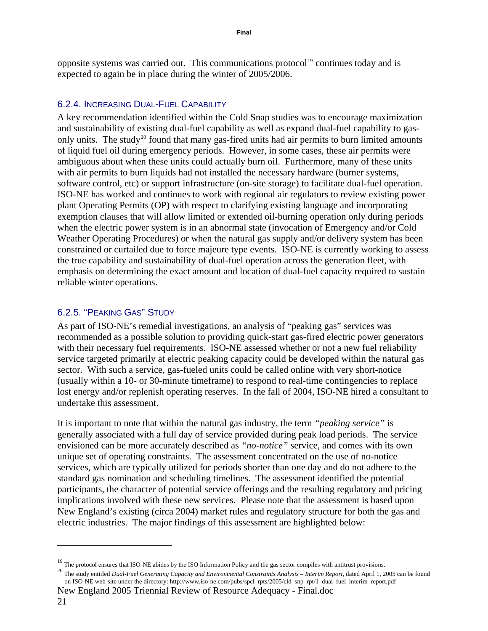<span id="page-20-0"></span>opposite systems was carried out. This communications protocol<sup>[19](#page-20-1)</sup> continues today and is expected to again be in place during the winter of 2005/2006.

#### 6.2.4. INCREASING DUAL-FUEL CAPABILITY

A key recommendation identified within the Cold Snap studies was to encourage maximization and sustainability of existing dual-fuel capability as well as expand dual-fuel capability to gas-only units. The study<sup>[20](#page-20-2)</sup> found that many gas-fired units had air permits to burn limited amounts of liquid fuel oil during emergency periods. However, in some cases, these air permits were ambiguous about when these units could actually burn oil. Furthermore, many of these units with air permits to burn liquids had not installed the necessary hardware (burner systems, software control, etc) or support infrastructure (on-site storage) to facilitate dual-fuel operation. ISO-NE has worked and continues to work with regional air regulators to review existing power plant Operating Permits (OP) with respect to clarifying existing language and incorporating exemption clauses that will allow limited or extended oil-burning operation only during periods when the electric power system is in an abnormal state (invocation of Emergency and/or Cold Weather Operating Procedures) or when the natural gas supply and/or delivery system has been constrained or curtailed due to force majeure type events. ISO-NE is currently working to assess the true capability and sustainability of dual-fuel operation across the generation fleet, with emphasis on determining the exact amount and location of dual-fuel capacity required to sustain reliable winter operations.

#### 6.2.5. "PEAKING GAS" STUDY

 $\overline{a}$ 

As part of ISO-NE's remedial investigations, an analysis of "peaking gas" services was recommended as a possible solution to providing quick-start gas-fired electric power generators with their necessary fuel requirements. ISO-NE assessed whether or not a new fuel reliability service targeted primarily at electric peaking capacity could be developed within the natural gas sector. With such a service, gas-fueled units could be called online with very short-notice (usually within a 10- or 30-minute timeframe) to respond to real-time contingencies to replace lost energy and/or replenish operating reserves. In the fall of 2004, ISO-NE hired a consultant to undertake this assessment.

It is important to note that within the natural gas industry, the term *"peaking service"* is generally associated with a full day of service provided during peak load periods. The service envisioned can be more accurately described as *"no-notice"* service, and comes with its own unique set of operating constraints. The assessment concentrated on the use of no-notice services, which are typically utilized for periods shorter than one day and do not adhere to the standard gas nomination and scheduling timelines. The assessment identified the potential participants, the character of potential service offerings and the resulting regulatory and pricing implications involved with these new services. Please note that the assessment is based upon New England's existing (circa 2004) market rules and regulatory structure for both the gas and electric industries. The major findings of this assessment are highlighted below:

New England 2005 Triennial Review of Resource Adequacy - Final.doc 21

<span id="page-20-2"></span>

<span id="page-20-1"></span><sup>&</sup>lt;sup>19</sup> The protocol ensures that ISO-NE abides by the ISO Information Policy and the gas sector compiles with antitrust provisions.<br><sup>20</sup> The study entitled *Dual-Fuel Generating Capacity and Environmental Constraints Analys* on ISO-NE web-site under the directory: http://www.iso-ne.com/pubs/spcl\_rpts/2005/cld\_snp\_rpt/1\_dual\_fuel\_interim\_report.pdf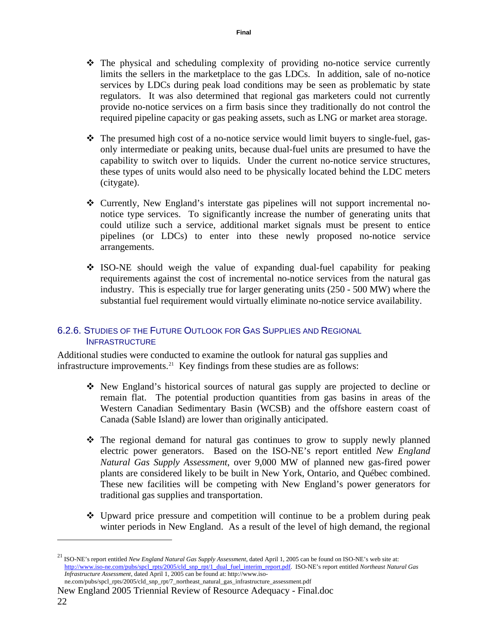- <span id="page-21-0"></span> The physical and scheduling complexity of providing no-notice service currently limits the sellers in the marketplace to the gas LDCs. In addition, sale of no-notice services by LDCs during peak load conditions may be seen as problematic by state regulators. It was also determined that regional gas marketers could not currently provide no-notice services on a firm basis since they traditionally do not control the required pipeline capacity or gas peaking assets, such as LNG or market area storage.
- $\hat{\mathbf{v}}$  The presumed high cost of a no-notice service would limit buyers to single-fuel, gasonly intermediate or peaking units, because dual-fuel units are presumed to have the capability to switch over to liquids. Under the current no-notice service structures, these types of units would also need to be physically located behind the LDC meters (citygate).
- Currently, New England's interstate gas pipelines will not support incremental nonotice type services. To significantly increase the number of generating units that could utilize such a service, additional market signals must be present to entice pipelines (or LDCs) to enter into these newly proposed no-notice service arrangements.
- $\div$  ISO-NE should weigh the value of expanding dual-fuel capability for peaking requirements against the cost of incremental no-notice services from the natural gas industry. This is especially true for larger generating units (250 - 500 MW) where the substantial fuel requirement would virtually eliminate no-notice service availability.

### 6.2.6. STUDIES OF THE FUTURE OUTLOOK FOR GAS SUPPLIES AND REGIONAL **INFRASTRUCTURE**

Additional studies were conducted to examine the outlook for natural gas supplies and infrastructure improvements.<sup>[21](#page-21-1)</sup> Key findings from these studies are as follows:

- New England's historical sources of natural gas supply are projected to decline or remain flat. The potential production quantities from gas basins in areas of the Western Canadian Sedimentary Basin (WCSB) and the offshore eastern coast of Canada (Sable Island) are lower than originally anticipated.
- The regional demand for natural gas continues to grow to supply newly planned electric power generators. Based on the ISO-NE's report entitled *New England Natural Gas Supply Assessment*, over 9,000 MW of planned new gas-fired power plants are considered likely to be built in New York, Ontario, and Québec combined. These new facilities will be competing with New England's power generators for traditional gas supplies and transportation.
- Upward price pressure and competition will continue to be a problem during peak winter periods in New England. As a result of the level of high demand, the regional

New England 2005 Triennial Review of Resource Adequacy - Final.doc 22 ne.com/pubs/spcl\_rpts/2005/cld\_snp\_rpt/7\_northeast\_natural\_gas\_infrastructure\_assessment.pdf

<span id="page-21-1"></span><sup>21</sup> ISO-NE's report entitled *New England Natural Gas Supply Assessment*, dated April 1, 2005 can be found on ISO-NE's web site at: [http://www.iso-ne.com/pubs/spcl\\_rpts/2005/cld\\_snp\\_rpt/1\\_dual\\_fuel\\_interim\\_report.pdf.](http://www.iso-ne.com/pubs/spcl_rpts/2005/cld_snp_rpt/1_dual_fuel_interim_report.pdf) ISO-NE's report entitled *Northeast Natural Gas Infrastructure Assessment*, dated April 1, 2005 can be found at: http://www.iso-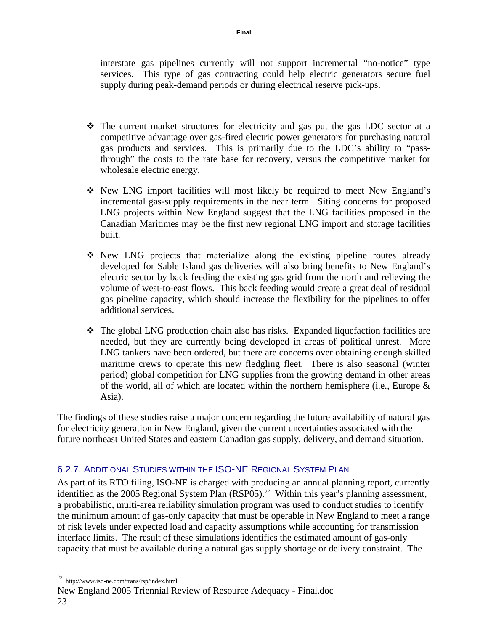<span id="page-22-0"></span>interstate gas pipelines currently will not support incremental "no-notice" type services. This type of gas contracting could help electric generators secure fuel supply during peak-demand periods or during electrical reserve pick-ups.

- $\div$  The current market structures for electricity and gas put the gas LDC sector at a competitive advantage over gas-fired electric power generators for purchasing natural gas products and services. This is primarily due to the LDC's ability to "passthrough" the costs to the rate base for recovery, versus the competitive market for wholesale electric energy.
- New LNG import facilities will most likely be required to meet New England's incremental gas-supply requirements in the near term. Siting concerns for proposed LNG projects within New England suggest that the LNG facilities proposed in the Canadian Maritimes may be the first new regional LNG import and storage facilities built.
- New LNG projects that materialize along the existing pipeline routes already developed for Sable Island gas deliveries will also bring benefits to New England's electric sector by back feeding the existing gas grid from the north and relieving the volume of west-to-east flows. This back feeding would create a great deal of residual gas pipeline capacity, which should increase the flexibility for the pipelines to offer additional services.
- $\div$  The global LNG production chain also has risks. Expanded liquefaction facilities are needed, but they are currently being developed in areas of political unrest. More LNG tankers have been ordered, but there are concerns over obtaining enough skilled maritime crews to operate this new fledgling fleet. There is also seasonal (winter period) global competition for LNG supplies from the growing demand in other areas of the world, all of which are located within the northern hemisphere (i.e., Europe  $\&$ Asia).

The findings of these studies raise a major concern regarding the future availability of natural gas for electricity generation in New England, given the current uncertainties associated with the future northeast United States and eastern Canadian gas supply, delivery, and demand situation.

# 6.2.7. ADDITIONAL STUDIES WITHIN THE ISO-NE REGIONAL SYSTEM PLAN

As part of its RTO filing, ISO-NE is charged with producing an annual planning report, currently identified as the 2005 Regional System Plan  $(RSP05)$ .<sup>22</sup> Within this year's planning assessment, a probabilistic, multi-area reliability simulation program was used to conduct studies to identify the minimum amount of gas-only capacity that must be operable in New England to meet a range of risk levels under expected load and capacity assumptions while accounting for transmission interface limits. The result of these simulations identifies the estimated amount of gas-only capacity that must be available during a natural gas supply shortage or delivery constraint. The

<span id="page-22-1"></span><sup>22</sup> http://www.iso-ne.com/trans/rsp/index.html

New England 2005 Triennial Review of Resource Adequacy - Final.doc 23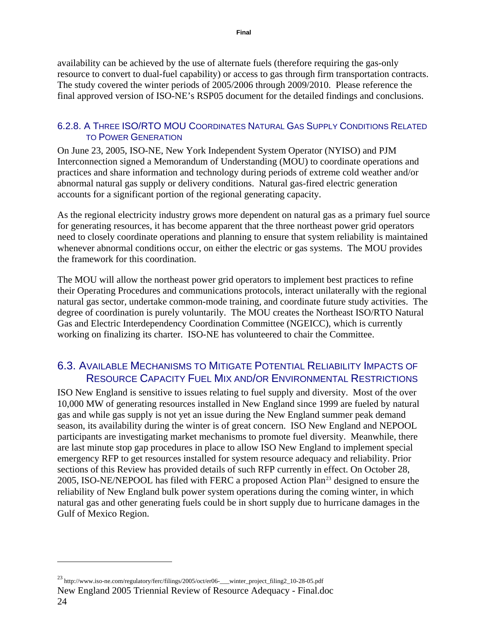<span id="page-23-0"></span>availability can be achieved by the use of alternate fuels (therefore requiring the gas-only resource to convert to dual-fuel capability) or access to gas through firm transportation contracts. The study covered the winter periods of 2005/2006 through 2009/2010. Please reference the final approved version of ISO-NE's RSP05 document for the detailed findings and conclusions.

#### 6.2.8. A THREE ISO/RTO MOU COORDINATES NATURAL GAS SUPPLY CONDITIONS RELATED TO POWER GENERATION

On June 23, 2005, ISO-NE, New York Independent System Operator (NYISO) and PJM Interconnection signed a Memorandum of Understanding (MOU) to coordinate operations and practices and share information and technology during periods of extreme cold weather and/or abnormal natural gas supply or delivery conditions. Natural gas-fired electric generation accounts for a significant portion of the regional generating capacity.

As the regional electricity industry grows more dependent on natural gas as a primary fuel source for generating resources, it has become apparent that the three northeast power grid operators need to closely coordinate operations and planning to ensure that system reliability is maintained whenever abnormal conditions occur, on either the electric or gas systems. The MOU provides the framework for this coordination.

The MOU will allow the northeast power grid operators to implement best practices to refine their Operating Procedures and communications protocols, interact unilaterally with the regional natural gas sector, undertake common-mode training, and coordinate future study activities. The degree of coordination is purely voluntarily. The MOU creates the Northeast ISO/RTO Natural Gas and Electric Interdependency Coordination Committee (NGEICC), which is currently working on finalizing its charter. ISO-NE has volunteered to chair the Committee.

# 6.3. AVAILABLE MECHANISMS TO MITIGATE POTENTIAL RELIABILITY IMPACTS OF RESOURCE CAPACITY FUEL MIX AND/OR ENVIRONMENTAL RESTRICTIONS

ISO New England is sensitive to issues relating to fuel supply and diversity. Most of the over 10,000 MW of generating resources installed in New England since 1999 are fueled by natural gas and while gas supply is not yet an issue during the New England summer peak demand season, its availability during the winter is of great concern. ISO New England and NEPOOL participants are investigating market mechanisms to promote fuel diversity. Meanwhile, there are last minute stop gap procedures in place to allow ISO New England to implement special emergency RFP to get resources installed for system resource adequacy and reliability. Prior sections of this Review has provided details of such RFP currently in effect. On October 28, 2005, ISO-NE/NEPOOL has filed with FERC a proposed Action Plan<sup>[23](#page-23-1)</sup> designed to ensure the reliability of New England bulk power system operations during the coming winter, in which natural gas and other generating fuels could be in short supply due to hurricane damages in the Gulf of Mexico Region.

<span id="page-23-1"></span><sup>23</sup> http://www.iso-ne.com/regulatory/ferc/filings/2005/oct/er06-\_\_\_winter\_project\_filing2\_10-28-05.pdf

New England 2005 Triennial Review of Resource Adequacy - Final.doc 24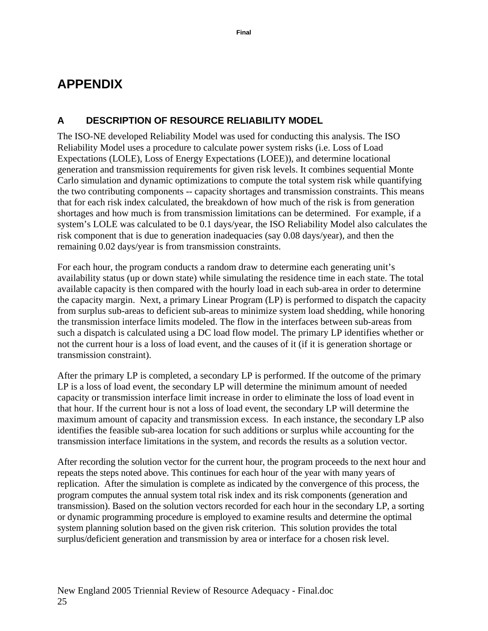# <span id="page-24-0"></span>**APPENDIX**

# **A DESCRIPTION OF RESOURCE RELIABILITY MODEL**

The ISO-NE developed Reliability Model was used for conducting this analysis. The ISO Reliability Model uses a procedure to calculate power system risks (i.e. Loss of Load Expectations (LOLE), Loss of Energy Expectations (LOEE)), and determine locational generation and transmission requirements for given risk levels. It combines sequential Monte Carlo simulation and dynamic optimizations to compute the total system risk while quantifying the two contributing components -- capacity shortages and transmission constraints. This means that for each risk index calculated, the breakdown of how much of the risk is from generation shortages and how much is from transmission limitations can be determined. For example, if a system's LOLE was calculated to be 0.1 days/year, the ISO Reliability Model also calculates the risk component that is due to generation inadequacies (say 0.08 days/year), and then the remaining 0.02 days/year is from transmission constraints.

For each hour, the program conducts a random draw to determine each generating unit's availability status (up or down state) while simulating the residence time in each state. The total available capacity is then compared with the hourly load in each sub-area in order to determine the capacity margin. Next, a primary Linear Program (LP) is performed to dispatch the capacity from surplus sub-areas to deficient sub-areas to minimize system load shedding, while honoring the transmission interface limits modeled. The flow in the interfaces between sub-areas from such a dispatch is calculated using a DC load flow model. The primary LP identifies whether or not the current hour is a loss of load event, and the causes of it (if it is generation shortage or transmission constraint).

After the primary LP is completed, a secondary LP is performed. If the outcome of the primary LP is a loss of load event, the secondary LP will determine the minimum amount of needed capacity or transmission interface limit increase in order to eliminate the loss of load event in that hour. If the current hour is not a loss of load event, the secondary LP will determine the maximum amount of capacity and transmission excess. In each instance, the secondary LP also identifies the feasible sub-area location for such additions or surplus while accounting for the transmission interface limitations in the system, and records the results as a solution vector.

After recording the solution vector for the current hour, the program proceeds to the next hour and repeats the steps noted above. This continues for each hour of the year with many years of replication. After the simulation is complete as indicated by the convergence of this process, the program computes the annual system total risk index and its risk components (generation and transmission). Based on the solution vectors recorded for each hour in the secondary LP, a sorting or dynamic programming procedure is employed to examine results and determine the optimal system planning solution based on the given risk criterion. This solution provides the total surplus/deficient generation and transmission by area or interface for a chosen risk level.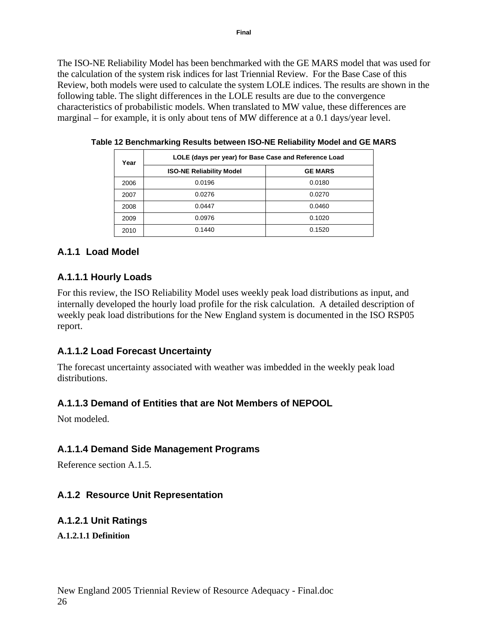<span id="page-25-0"></span>The ISO-NE Reliability Model has been benchmarked with the GE MARS model that was used for the calculation of the system risk indices for last Triennial Review. For the Base Case of this Review, both models were used to calculate the system LOLE indices. The results are shown in the following table. The slight differences in the LOLE results are due to the convergence characteristics of probabilistic models. When translated to MW value, these differences are marginal – for example, it is only about tens of MW difference at a 0.1 days/year level.

| Year | LOLE (days per year) for Base Case and Reference Load |                |  |  |  |
|------|-------------------------------------------------------|----------------|--|--|--|
|      | <b>ISO-NE Reliability Model</b>                       | <b>GE MARS</b> |  |  |  |
| 2006 | 0.0196                                                | 0.0180         |  |  |  |
| 2007 | 0.0276                                                | 0.0270         |  |  |  |
| 2008 | 0.0447                                                | 0.0460         |  |  |  |
| 2009 | 0.0976                                                | 0.1020         |  |  |  |
| 2010 | 0.1440                                                | 0.1520         |  |  |  |

**Table 12 Benchmarking Results between ISO-NE Reliability Model and GE MARS**

### **A.1.1 Load Model**

#### **A.1.1.1 Hourly Loads**

For this review, the ISO Reliability Model uses weekly peak load distributions as input, and internally developed the hourly load profile for the risk calculation. A detailed description of weekly peak load distributions for the New England system is documented in the ISO RSP05 report.

### **A.1.1.2 Load Forecast Uncertainty**

The forecast uncertainty associated with weather was imbedded in the weekly peak load distributions.

### **A.1.1.3 Demand of Entities that are Not Members of NEPOOL**

Not modeled.

### **A.1.1.4 Demand Side Management Programs**

Reference section A.1.5.

### **A.1.2 Resource Unit Representation**

#### **A.1.2.1 Unit Ratings**

**A.1.2.1.1 Definition**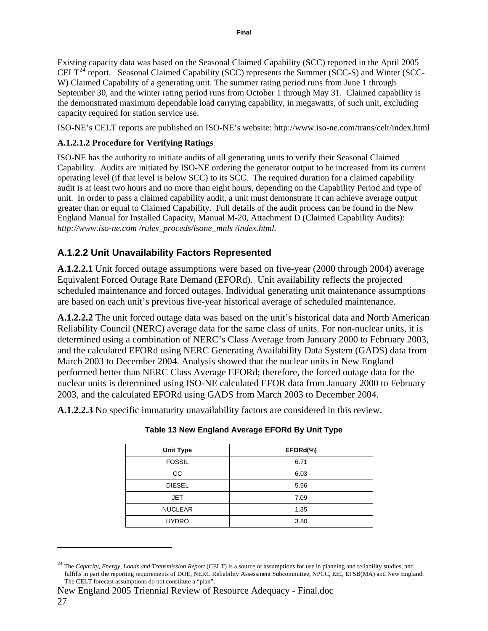<span id="page-26-0"></span>Existing capacity data was based on the Seasonal Claimed Capability (SCC) reported in the April 2005 CELT<sup>[24](#page-26-1)</sup> report. Seasonal Claimed Capability (SCC) represents the Summer (SCC-S) and Winter (SCC-W) Claimed Capability of a generating unit. The summer rating period runs from June 1 through September 30, and the winter rating period runs from October 1 through May 31. Claimed capability is the demonstrated maximum dependable load carrying capability, in megawatts, of such unit, excluding capacity required for station service use.

ISO-NE's CELT reports are published on ISO-NE's website: http://www.iso-ne.com/trans/celt/index.html

#### **A.1.2.1.2 Procedure for Verifying Ratings**

ISO-NE has the authority to initiate audits of all generating units to verify their Seasonal Claimed Capability. Audits are initiated by ISO-NE ordering the generator output to be increased from its current operating level (if that level is below SCC) to its SCC. The required duration for a claimed capability audit is at least two hours and no more than eight hours, depending on the Capability Period and type of unit. In order to pass a claimed capability audit, a unit must demonstrate it can achieve average output greater than or equal to Claimed Capability. Full details of the audit process can be found in the New England Manual for Installed Capacity, Manual M-20, Attachment D (Claimed Capability Audits): *http://www.iso-ne.com /rules\_proceds/isone\_mnls /index.html.*

# **A.1.2.2 Unit Unavailability Factors Represented**

**A.1.2.2.1** Unit forced outage assumptions were based on five-year (2000 through 2004) average Equivalent Forced Outage Rate Demand (EFORd). Unit availability reflects the projected scheduled maintenance and forced outages. Individual generating unit maintenance assumptions are based on each unit's previous five-year historical average of scheduled maintenance.

**A.1.2.2.2** The unit forced outage data was based on the unit's historical data and North American Reliability Council (NERC) average data for the same class of units. For non-nuclear units, it is determined using a combination of NERC's Class Average from January 2000 to February 2003, and the calculated EFORd using NERC Generating Availability Data System (GADS) data from March 2003 to December 2004. Analysis showed that the nuclear units in New England performed better than NERC Class Average EFORd; therefore, the forced outage data for the nuclear units is determined using ISO-NE calculated EFOR data from January 2000 to February 2003, and the calculated EFORd using GADS from March 2003 to December 2004.

<span id="page-26-2"></span>**A.1.2.2.3** No specific immaturity unavailability factors are considered in this review.

| <b>Unit Type</b> | EFORd(%) |
|------------------|----------|
| <b>FOSSIL</b>    | 6.71     |
| CC.              | 6.03     |
| <b>DIESEL</b>    | 5.56     |
| <b>JET</b>       | 7.09     |
| <b>NUCLEAR</b>   | 1.35     |
| <b>HYDRO</b>     | 3.80     |

**Table 13 New England Average EFORd By Unit Type** 

<span id="page-26-1"></span><sup>&</sup>lt;sup>24</sup> The *Capacity, Energy, Loads and Transmission Report* (CELT) is a source of assumptions for use in planning and reliability studies, and fulfills in part the reporting requirements of DOE, NERC Reliability Assessment Subcommittee, NPCC, EEI, EFSB(MA) and New England. The CELT forecast assumptions do not constitute a "plan".

New England 2005 Triennial Review of Resource Adequacy - Final.doc 27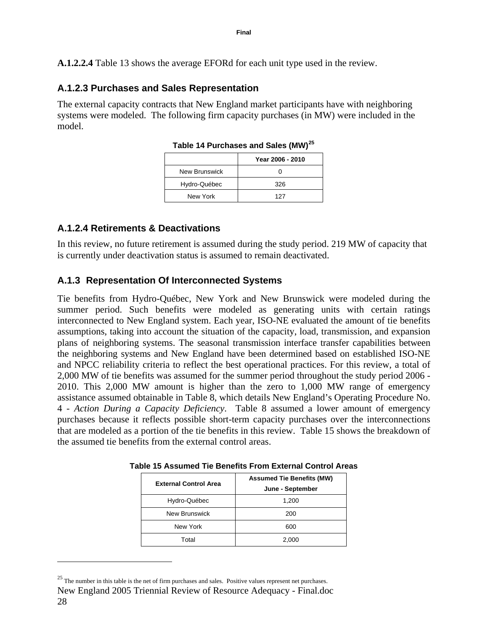<span id="page-27-0"></span>**A.1.2.2.4** [Table 13](#page-26-2) shows the average EFORd for each unit type used in the review.

## **A.1.2.3 Purchases and Sales Representation**

The external capacity contracts that New England market participants have with neighboring systems were modeled. The following firm capacity purchases (in MW) were included in the model.

| $1805$ $\sigma$ $171$ and $1855$ and $9805$ (IVIV) |                  |  |  |  |
|----------------------------------------------------|------------------|--|--|--|
|                                                    | Year 2006 - 2010 |  |  |  |
| New Brunswick                                      |                  |  |  |  |
| Hydro-Québec                                       | 326              |  |  |  |
| New York                                           | 127              |  |  |  |
|                                                    |                  |  |  |  |

**Table 14 Purchases and Sales (MW)[25](#page-27-1)**

### **A.1.2.4 Retirements & Deactivations**

In this review, no future retirement is assumed during the study period. 219 MW of capacity that is currently under deactivation status is assumed to remain deactivated.

# **A.1.3 Representation Of Interconnected Systems**

Tie benefits from Hydro-Québec, New York and New Brunswick were modeled during the summer period. Such benefits were modeled as generating units with certain ratings interconnected to New England system. Each year, ISO-NE evaluated the amount of tie benefits assumptions, taking into account the situation of the capacity, load, transmission, and expansion plans of neighboring systems. The seasonal transmission interface transfer capabilities between the neighboring systems and New England have been determined based on established ISO-NE and NPCC reliability criteria to reflect the best operational practices. For this review, a total of 2,000 MW of tie benefits was assumed for the summer period throughout the study period 2006 - 2010. This 2,000 MW amount is higher than the zero to 1,000 MW range of emergency assistance assumed obtainable in [Table 8](#page-13-1), which details New England's Operating Procedure No. 4 - *Action During a Capacity Deficiency*. [Table 8](#page-13-1) assumed a lower amount of emergency purchases because it reflects possible short-term capacity purchases over the interconnections that are modeled as a portion of the tie benefits in this review. [Table 15](#page-27-2) shows the breakdown of the assumed tie benefits from the external control areas.

| <b>External Control Area</b> | <b>Assumed Tie Benefits (MW)</b><br>June - September |
|------------------------------|------------------------------------------------------|
| Hydro-Québec                 | 1,200                                                |
| New Brunswick                | 200                                                  |
| New York                     | 600                                                  |
| Total                        | 2,000                                                |

**Table 15 Assumed Tie Benefits From External Control Areas** 

<span id="page-27-2"></span><span id="page-27-1"></span><sup>&</sup>lt;sup>25</sup> The number in this table is the net of firm purchases and sales. Positive values represent net purchases.

New England 2005 Triennial Review of Resource Adequacy - Final.doc 28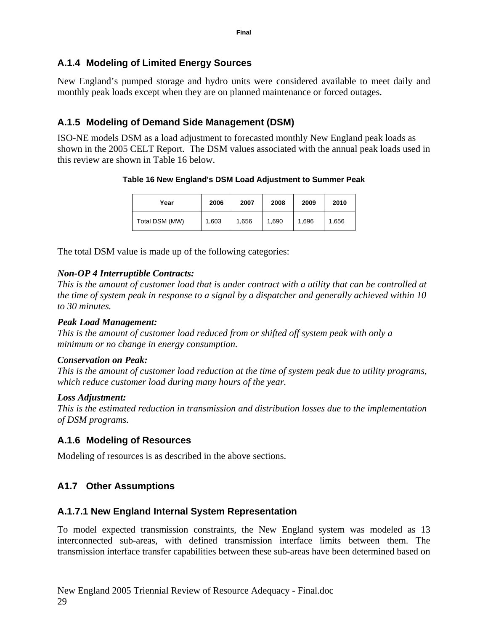## <span id="page-28-0"></span>**A.1.4 Modeling of Limited Energy Sources**

New England's pumped storage and hydro units were considered available to meet daily and monthly peak loads except when they are on planned maintenance or forced outages.

# **A.1.5 Modeling of Demand Side Management (DSM)**

<span id="page-28-1"></span>ISO-NE models DSM as a load adjustment to forecasted monthly New England peak loads as shown in the 2005 CELT Report. The DSM values associated with the annual peak loads used in this review are shown in [Table 16](#page-28-1) below.

#### **Table 16 New England's DSM Load Adjustment to Summer Peak**

| Year           | 2006  | 2007  | 2008  | 2009  | 2010  |
|----------------|-------|-------|-------|-------|-------|
| Total DSM (MW) | 1,603 | 1,656 | 1,690 | 1,696 | 1.656 |

The total DSM value is made up of the following categories:

### *Non-OP 4 Interruptible Contracts:*

*This is the amount of customer load that is under contract with a utility that can be controlled at the time of system peak in response to a signal by a dispatcher and generally achieved within 10 to 30 minutes.* 

#### *Peak Load Management:*

*This is the amount of customer load reduced from or shifted off system peak with only a minimum or no change in energy consumption.* 

#### *Conservation on Peak:*

*This is the amount of customer load reduction at the time of system peak due to utility programs, which reduce customer load during many hours of the year.* 

#### *Loss Adjustment:*

*This is the estimated reduction in transmission and distribution losses due to the implementation of DSM programs.* 

### **A.1.6 Modeling of Resources**

Modeling of resources is as described in the above sections.

# **A1.7 Other Assumptions**

### **A.1.7.1 New England Internal System Representation**

To model expected transmission constraints, the New England system was modeled as 13 interconnected sub-areas, with defined transmission interface limits between them. The transmission interface transfer capabilities between these sub-areas have been determined based on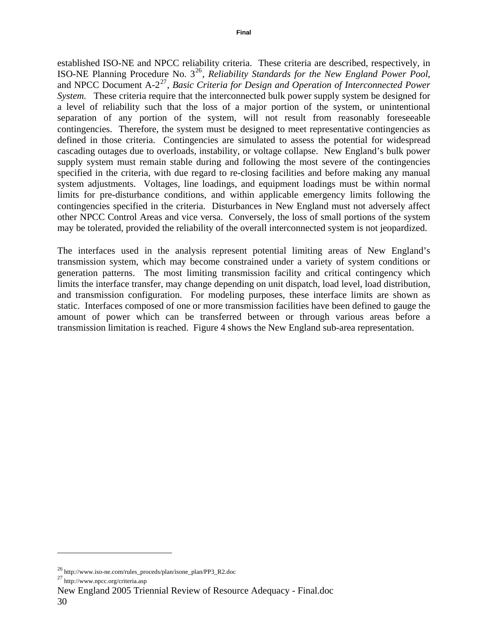established ISO-NE and NPCC reliability criteria. These criteria are described, respectively, in ISO-NE Planning Procedure No. 3[26](#page-29-0), *Reliability Standards for the New England Power Pool*, and NPCC Document A-2<sup>[27](#page-29-1)</sup>, *Basic Criteria for Design and Operation of Interconnected Power System.* These criteria require that the interconnected bulk power supply system be designed for a level of reliability such that the loss of a major portion of the system, or unintentional separation of any portion of the system, will not result from reasonably foreseeable contingencies. Therefore, the system must be designed to meet representative contingencies as defined in those criteria. Contingencies are simulated to assess the potential for widespread cascading outages due to overloads, instability, or voltage collapse. New England's bulk power supply system must remain stable during and following the most severe of the contingencies specified in the criteria, with due regard to re-closing facilities and before making any manual system adjustments. Voltages, line loadings, and equipment loadings must be within normal limits for pre-disturbance conditions, and within applicable emergency limits following the contingencies specified in the criteria. Disturbances in New England must not adversely affect other NPCC Control Areas and vice versa. Conversely, the loss of small portions of the system may be tolerated, provided the reliability of the overall interconnected system is not jeopardized.

The interfaces used in the analysis represent potential limiting areas of New England's transmission system, which may become constrained under a variety of system conditions or generation patterns. The most limiting transmission facility and critical contingency which limits the interface transfer, may change depending on unit dispatch, load level, load distribution, and transmission configuration. For modeling purposes, these interface limits are shown as static. Interfaces composed of one or more transmission facilities have been defined to gauge the amount of power which can be transferred between or through various areas before a transmission limitation is reached. [Figure 4](#page-30-1) shows the New England sub-area representation.

<span id="page-29-0"></span><sup>&</sup>lt;sup>26</sup> http://www.iso-ne.com/rules\_proceds/plan/isone\_plan/PP3\_R2.doc  $^{27}$  http://www.npcc.org/criteria.asp

<span id="page-29-1"></span>

New England 2005 Triennial Review of Resource Adequacy - Final.doc 30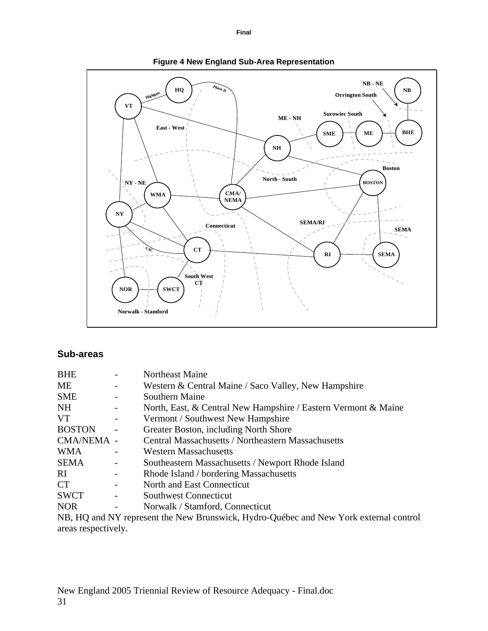<span id="page-30-1"></span><span id="page-30-0"></span>

#### **Figure 4 New England Sub-Area Representation**

#### **Sub-areas**

| <b>BHE</b>    |                | Northeast Maine                                                                                                                                                                                                                                                                                                                                                    |
|---------------|----------------|--------------------------------------------------------------------------------------------------------------------------------------------------------------------------------------------------------------------------------------------------------------------------------------------------------------------------------------------------------------------|
| МE            |                | Western & Central Maine / Saco Valley, New Hampshire                                                                                                                                                                                                                                                                                                               |
| <b>SME</b>    |                | Southern Maine                                                                                                                                                                                                                                                                                                                                                     |
| NH            |                | North, East, & Central New Hampshire / Eastern Vermont & Maine                                                                                                                                                                                                                                                                                                     |
| <b>VT</b>     |                | Vermont / Southwest New Hampshire                                                                                                                                                                                                                                                                                                                                  |
| <b>BOSTON</b> | $\overline{a}$ | Greater Boston, including North Shore                                                                                                                                                                                                                                                                                                                              |
| CMA/NEMA -    |                | <b>Central Massachusetts / Northeastern Massachusetts</b>                                                                                                                                                                                                                                                                                                          |
| <b>WMA</b>    |                | Western Massachusetts                                                                                                                                                                                                                                                                                                                                              |
| <b>SEMA</b>   | -              | Southeastern Massachusetts / Newport Rhode Island                                                                                                                                                                                                                                                                                                                  |
| RI.           |                | Rhode Island / bordering Massachusetts                                                                                                                                                                                                                                                                                                                             |
| <b>CT</b>     |                | North and East Connecticut                                                                                                                                                                                                                                                                                                                                         |
| <b>SWCT</b>   |                | Southwest Connecticut                                                                                                                                                                                                                                                                                                                                              |
| <b>NOR</b>    |                | Norwalk / Stamford, Connecticut                                                                                                                                                                                                                                                                                                                                    |
|               |                | $\overline{\text{MD}}$ $\overline{\text{H}}$ and $\overline{\text{MN}}$ increases the Mem $\overline{\text{D}}$ increases the Headler $\overline{\text{O}}$ of the condition $\overline{\text{M}}$ and $\overline{\text{M}}$ and $\overline{\text{M}}$ and $\overline{\text{M}}$ and $\overline{\text{M}}$ and $\overline{\text{M}}$ and $\overline{\text{M}}$ and |

NB, HQ and NY represent the New Brunswick, Hydro-Québec and New York external control areas respectively.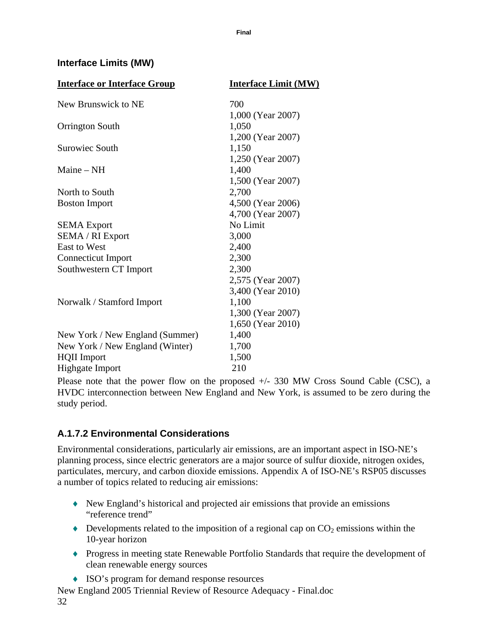#### <span id="page-31-0"></span>**Interface Limits (MW)**

| <b>Interface or Interface Group</b> | <b>Interface Limit (MW)</b> |
|-------------------------------------|-----------------------------|
| New Brunswick to NE                 | 700                         |
|                                     | 1,000 (Year 2007)           |
| <b>Orrington South</b>              | 1,050                       |
|                                     | 1,200 (Year 2007)           |
| Surowiec South                      | 1,150                       |
|                                     | 1,250 (Year 2007)           |
| Maine $-$ NH                        | 1,400                       |
|                                     | 1,500 (Year 2007)           |
| North to South                      | 2,700                       |
| <b>Boston Import</b>                | 4,500 (Year 2006)           |
|                                     | 4,700 (Year 2007)           |
| <b>SEMA</b> Export                  | No Limit                    |
| <b>SEMA / RI Export</b>             | 3,000                       |
| <b>East to West</b>                 | 2,400                       |
| <b>Connecticut Import</b>           | 2,300                       |
| Southwestern CT Import              | 2,300                       |
|                                     | 2,575 (Year 2007)           |
|                                     | 3,400 (Year 2010)           |
| Norwalk / Stamford Import           | 1,100                       |
|                                     | 1,300 (Year 2007)           |
|                                     | 1,650 (Year 2010)           |
| New York / New England (Summer)     | 1,400                       |
| New York / New England (Winter)     | 1,700                       |
| <b>HQII</b> Import                  | 1,500                       |
| <b>Highgate Import</b>              | 210                         |

Please note that the power flow on the proposed  $+/- 330$  MW Cross Sound Cable (CSC), a HVDC interconnection between New England and New York, is assumed to be zero during the study period.

# **A.1.7.2 Environmental Considerations**

Environmental considerations, particularly air emissions, are an important aspect in ISO-NE's planning process, since electric generators are a major source of sulfur dioxide, nitrogen oxides, particulates, mercury, and carbon dioxide emissions. Appendix A of ISO-NE's RSP05 discusses a number of topics related to reducing air emissions:

- ♦ New England's historical and projected air emissions that provide an emissions "reference trend"
- $\blacklozenge$  Developments related to the imposition of a regional cap on  $CO_2$  emissions within the 10-year horizon
- ♦ Progress in meeting state Renewable Portfolio Standards that require the development of clean renewable energy sources
- ♦ ISO's program for demand response resources

New England 2005 Triennial Review of Resource Adequacy - Final.doc 32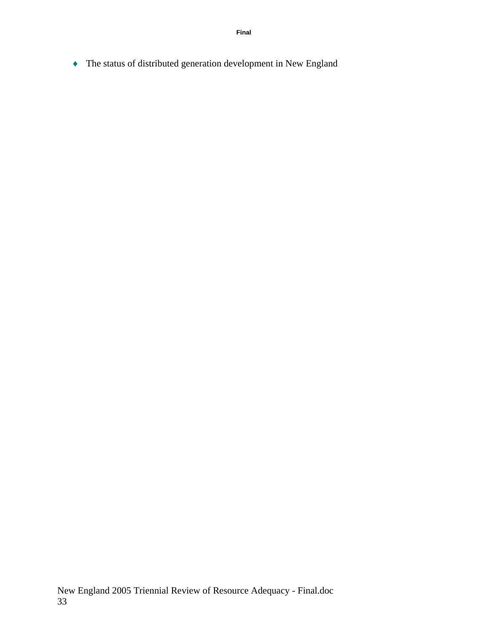♦ The status of distributed generation development in New England